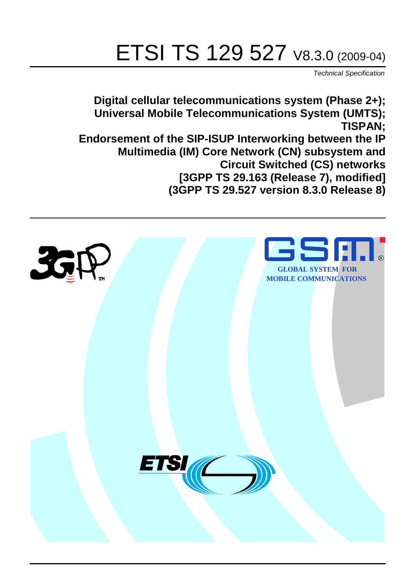# ETSI TS 129 527 V8.3.0 (2009-04)

*Technical Specification*

**Digital cellular telecommunications system (Phase 2+); Universal Mobile Telecommunications System (UMTS); TISPAN; Endorsement of the SIP-ISUP Interworking between the IP Multimedia (IM) Core Network (CN) subsystem and Circuit Switched (CS) networks [3GPP TS 29.163 (Release 7), modified] (3GPP TS 29.527 version 8.3.0 Release 8)**

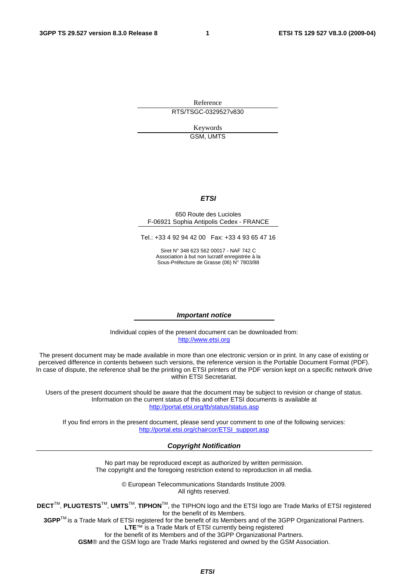Reference RTS/TSGC-0329527v830

> Keywords GSM, UMTS

#### *ETSI*

#### 650 Route des Lucioles F-06921 Sophia Antipolis Cedex - FRANCE

Tel.: +33 4 92 94 42 00 Fax: +33 4 93 65 47 16

Siret N° 348 623 562 00017 - NAF 742 C Association à but non lucratif enregistrée à la Sous-Préfecture de Grasse (06) N° 7803/88

#### *Important notice*

Individual copies of the present document can be downloaded from: [http://www.etsi.org](http://www.etsi.org/)

The present document may be made available in more than one electronic version or in print. In any case of existing or perceived difference in contents between such versions, the reference version is the Portable Document Format (PDF). In case of dispute, the reference shall be the printing on ETSI printers of the PDF version kept on a specific network drive within ETSI Secretariat.

Users of the present document should be aware that the document may be subject to revision or change of status. Information on the current status of this and other ETSI documents is available at <http://portal.etsi.org/tb/status/status.asp>

If you find errors in the present document, please send your comment to one of the following services: [http://portal.etsi.org/chaircor/ETSI\\_support.asp](http://portal.etsi.org/chaircor/ETSI_support.asp)

#### *Copyright Notification*

No part may be reproduced except as authorized by written permission. The copyright and the foregoing restriction extend to reproduction in all media.

> © European Telecommunications Standards Institute 2009. All rights reserved.

**DECT**TM, **PLUGTESTS**TM, **UMTS**TM, **TIPHON**TM, the TIPHON logo and the ETSI logo are Trade Marks of ETSI registered for the benefit of its Members.

**3GPP**TM is a Trade Mark of ETSI registered for the benefit of its Members and of the 3GPP Organizational Partners. **LTE**™ is a Trade Mark of ETSI currently being registered

for the benefit of its Members and of the 3GPP Organizational Partners.

**GSM**® and the GSM logo are Trade Marks registered and owned by the GSM Association.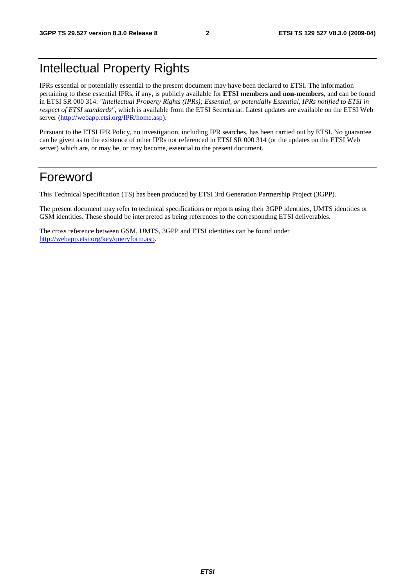### Intellectual Property Rights

IPRs essential or potentially essential to the present document may have been declared to ETSI. The information pertaining to these essential IPRs, if any, is publicly available for **ETSI members and non-members**, and can be found in ETSI SR 000 314: *"Intellectual Property Rights (IPRs); Essential, or potentially Essential, IPRs notified to ETSI in respect of ETSI standards"*, which is available from the ETSI Secretariat. Latest updates are available on the ETSI Web server (<http://webapp.etsi.org/IPR/home.asp>).

Pursuant to the ETSI IPR Policy, no investigation, including IPR searches, has been carried out by ETSI. No guarantee can be given as to the existence of other IPRs not referenced in ETSI SR 000 314 (or the updates on the ETSI Web server) which are, or may be, or may become, essential to the present document.

### Foreword

This Technical Specification (TS) has been produced by ETSI 3rd Generation Partnership Project (3GPP).

The present document may refer to technical specifications or reports using their 3GPP identities, UMTS identities or GSM identities. These should be interpreted as being references to the corresponding ETSI deliverables.

The cross reference between GSM, UMTS, 3GPP and ETSI identities can be found under <http://webapp.etsi.org/key/queryform.asp>.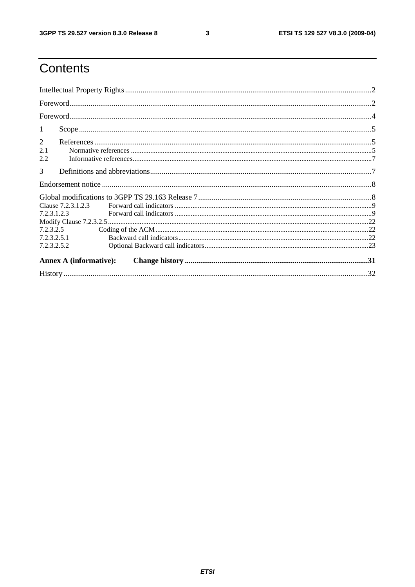$\mathbf{3}$ 

## Contents

| -1                                                                           |  |
|------------------------------------------------------------------------------|--|
| 2<br>2.1<br>2.2                                                              |  |
| 3                                                                            |  |
|                                                                              |  |
| Clause 7.2.3.1.2.3<br>7.2.3.1.2.3<br>7.2.3.2.5<br>7.2.3.2.5.1<br>7.2.3.2.5.2 |  |
| <b>Annex A (informative):</b>                                                |  |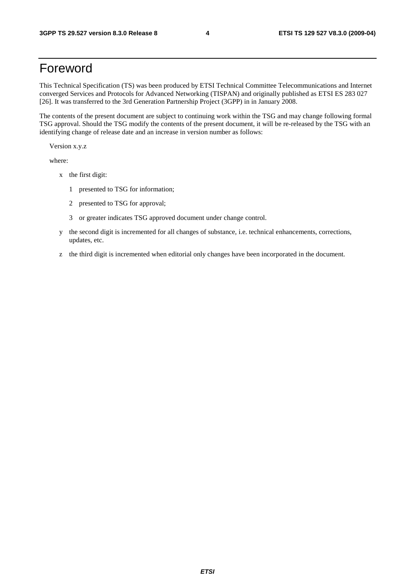### Foreword

This Technical Specification (TS) was been produced by ETSI Technical Committee Telecommunications and Internet converged Services and Protocols for Advanced Networking (TISPAN) and originally published as ETSI ES 283 027 [26]. It was transferred to the 3rd Generation Partnership Project (3GPP) in in January 2008.

The contents of the present document are subject to continuing work within the TSG and may change following formal TSG approval. Should the TSG modify the contents of the present document, it will be re-released by the TSG with an identifying change of release date and an increase in version number as follows:

Version x.y.z

where:

- x the first digit:
	- 1 presented to TSG for information;
	- 2 presented to TSG for approval;
	- 3 or greater indicates TSG approved document under change control.
- y the second digit is incremented for all changes of substance, i.e. technical enhancements, corrections, updates, etc.
- z the third digit is incremented when editorial only changes have been incorporated in the document.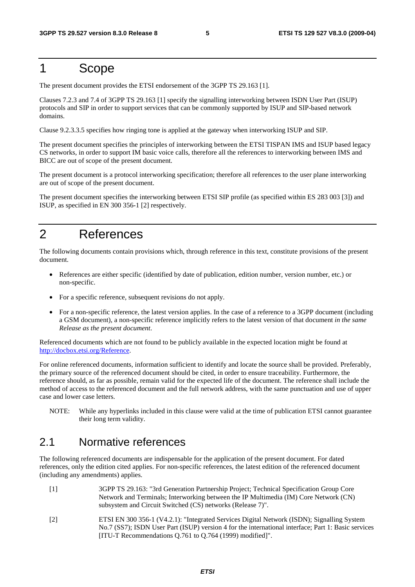### 1 Scope

The present document provides the ETSI endorsement of the 3GPP TS 29.163 [1].

Clauses 7.2.3 and 7.4 of 3GPP TS 29.163 [1] specify the signalling interworking between ISDN User Part (ISUP) protocols and SIP in order to support services that can be commonly supported by ISUP and SIP-based network domains.

Clause 9.2.3.3.5 specifies how ringing tone is applied at the gateway when interworking ISUP and SIP.

The present document specifies the principles of interworking between the ETSI TISPAN IMS and ISUP based legacy CS networks, in order to support IM basic voice calls, therefore all the references to interworking between IMS and BICC are out of scope of the present document.

The present document is a protocol interworking specification; therefore all references to the user plane interworking are out of scope of the present document.

The present document specifies the interworking between ETSI SIP profile (as specified within ES 283 003 [3]) and ISUP, as specified in EN 300 356-1 [2] respectively.

### 2 References

The following documents contain provisions which, through reference in this text, constitute provisions of the present document.

- References are either specific (identified by date of publication, edition number, version number, etc.) or non-specific.
- For a specific reference, subsequent revisions do not apply.
- For a non-specific reference, the latest version applies. In the case of a reference to a 3GPP document (including a GSM document), a non-specific reference implicitly refers to the latest version of that document *in the same Release as the present document*.

Referenced documents which are not found to be publicly available in the expected location might be found at <http://docbox.etsi.org/Reference>.

For online referenced documents, information sufficient to identify and locate the source shall be provided. Preferably, the primary source of the referenced document should be cited, in order to ensure traceability. Furthermore, the reference should, as far as possible, remain valid for the expected life of the document. The reference shall include the method of access to the referenced document and the full network address, with the same punctuation and use of upper case and lower case letters.

NOTE: While any hyperlinks included in this clause were valid at the time of publication ETSI cannot guarantee their long term validity.

### 2.1 Normative references

The following referenced documents are indispensable for the application of the present document. For dated references, only the edition cited applies. For non-specific references, the latest edition of the referenced document (including any amendments) applies.

- [1] 3GPP TS 29.163: "3rd Generation Partnership Project; Technical Specification Group Core Network and Terminals; Interworking between the IP Multimedia (IM) Core Network (CN) subsystem and Circuit Switched (CS) networks (Release 7)".
- [2] ETSI EN 300 356-1 (V4.2.1): "Integrated Services Digital Network (ISDN); Signalling System No.7 (SS7); ISDN User Part (ISUP) version 4 for the international interface; Part 1: Basic services [ITU-T Recommendations Q.761 to Q.764 (1999) modified]".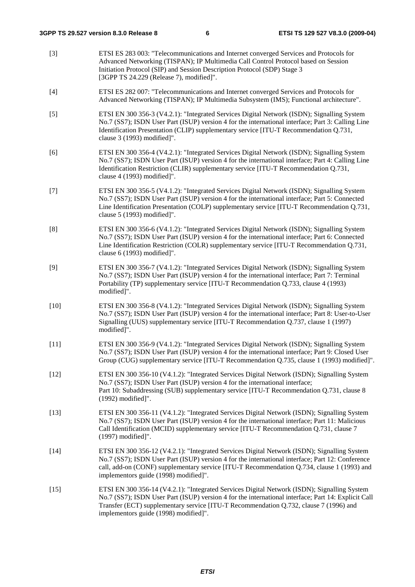[3] ETSI ES 283 003: "Telecommunications and Internet converged Services and Protocols for Advanced Networking (TISPAN); IP Multimedia Call Control Protocol based on Session Initiation Protocol (SIP) and Session Description Protocol (SDP) Stage 3 [3GPP TS 24.229 (Release 7), modified]". [4] ETSI ES 282 007: "Telecommunications and Internet converged Services and Protocols for Advanced Networking (TISPAN); IP Multimedia Subsystem (IMS); Functional architecture". [5] ETSI EN 300 356-3 (V4.2.1): "Integrated Services Digital Network (ISDN); Signalling System No.7 (SS7); ISDN User Part (ISUP) version 4 for the international interface; Part 3: Calling Line Identification Presentation (CLIP) supplementary service [ITU-T Recommendation Q.731, clause 3 (1993) modified]". [6] ETSI EN 300 356-4 (V4.2.1): "Integrated Services Digital Network (ISDN); Signalling System No.7 (SS7); ISDN User Part (ISUP) version 4 for the international interface; Part 4: Calling Line Identification Restriction (CLIR) supplementary service [ITU-T Recommendation Q.731, clause 4 (1993) modified]". [7] ETSI EN 300 356-5 (V4.1.2): "Integrated Services Digital Network (ISDN); Signalling System No.7 (SS7); ISDN User Part (ISUP) version 4 for the international interface; Part 5: Connected Line Identification Presentation (COLP) supplementary service [ITU-T Recommendation Q.731, clause 5 (1993) modified]". [8] ETSI EN 300 356-6 (V4.1.2): "Integrated Services Digital Network (ISDN); Signalling System No.7 (SS7); ISDN User Part (ISUP) version 4 for the international interface; Part 6: Connected Line Identification Restriction (COLR) supplementary service [ITU-T Recommendation Q.731, clause 6 (1993) modified]". [9] ETSI EN 300 356-7 (V4.1.2): "Integrated Services Digital Network (ISDN); Signalling System No.7 (SS7); ISDN User Part (ISUP) version 4 for the international interface; Part 7: Terminal Portability (TP) supplementary service [ITU-T Recommendation Q.733, clause 4 (1993) modified]". [10] ETSI EN 300 356-8 (V4.1.2): "Integrated Services Digital Network (ISDN); Signalling System No.7 (SS7); ISDN User Part (ISUP) version 4 for the international interface; Part 8: User-to-User Signalling (UUS) supplementary service [ITU-T Recommendation Q.737, clause 1 (1997) modified]". [11] ETSI EN 300 356-9 (V4.1.2): "Integrated Services Digital Network (ISDN); Signalling System No.7 (SS7); ISDN User Part (ISUP) version 4 for the international interface; Part 9: Closed User Group (CUG) supplementary service [ITU-T Recommendation Q.735, clause 1 (1993) modified]". [12] ETSI EN 300 356-10 (V4.1.2): "Integrated Services Digital Network (ISDN); Signalling System No.7 (SS7); ISDN User Part (ISUP) version 4 for the international interface; Part 10: Subaddressing (SUB) supplementary service [ITU-T Recommendation Q.731, clause 8 (1992) modified]". [13] ETSI EN 300 356-11 (V4.1.2): "Integrated Services Digital Network (ISDN); Signalling System No.7 (SS7); ISDN User Part (ISUP) version 4 for the international interface; Part 11: Malicious Call Identification (MCID) supplementary service [ITU-T Recommendation Q.731, clause 7 (1997) modified]". [14] ETSI EN 300 356-12 (V4.2.1): "Integrated Services Digital Network (ISDN); Signalling System No.7 (SS7); ISDN User Part (ISUP) version 4 for the international interface; Part 12: Conference call, add-on (CONF) supplementary service [ITU-T Recommendation Q.734, clause 1 (1993) and implementors guide (1998) modified]". [15] ETSI EN 300 356-14 (V4.2.1): "Integrated Services Digital Network (ISDN); Signalling System No.7 (SS7); ISDN User Part (ISUP) version 4 for the international interface; Part 14: Explicit Call Transfer (ECT) supplementary service [ITU-T Recommendation Q.732, clause 7 (1996) and implementors guide (1998) modified]".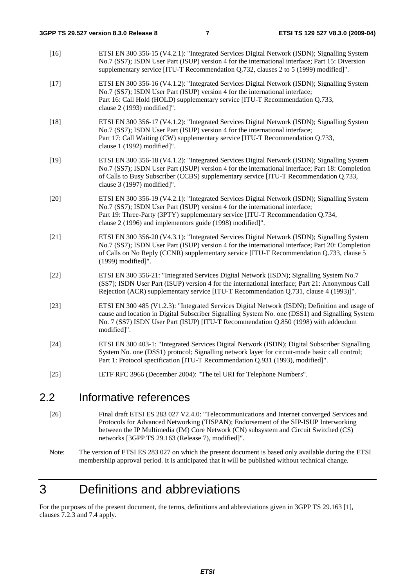| $\sim$ | $\mathbf{L} = \mathbf{L} \times \mathbf{L}$ and $\mathbf{L} = \mathbf{L} \times \mathbf{L}$                                                                                                                                                                                                                                |
|--------|----------------------------------------------------------------------------------------------------------------------------------------------------------------------------------------------------------------------------------------------------------------------------------------------------------------------------|
| $[25]$ | IETF RFC 3966 (December 2004): "The tel URI for Telephone Numbers".                                                                                                                                                                                                                                                        |
| $[24]$ | ETSI EN 300 403-1: "Integrated Services Digital Network (ISDN); Digital Subscriber Signalling<br>System No. one (DSS1) protocol; Signalling network layer for circuit-mode basic call control;<br>Part 1: Protocol specification [ITU-T Recommendation Q.931 (1993), modified]".                                           |
| $[23]$ | ETSI EN 300 485 (V1.2.3): "Integrated Services Digital Network (ISDN); Definition and usage of<br>cause and location in Digital Subscriber Signalling System No. one (DSS1) and Signalling System<br>No. 7 (SS7) ISDN User Part (ISUP) [ITU-T Recommendation Q.850 (1998) with addendum<br>modified]".                     |
| $[22]$ | ETSI EN 300 356-21: "Integrated Services Digital Network (ISDN); Signalling System No.7<br>(SS7); ISDN User Part (ISUP) version 4 for the international interface; Part 21: Anonymous Call<br>Rejection (ACR) supplementary service [ITU-T Recommendation Q.731, clause 4 (1993)]".                                        |
| $[21]$ | ETSI EN 300 356-20 (V4.3.1): "Integrated Services Digital Network (ISDN); Signalling System<br>No.7 (SS7); ISDN User Part (ISUP) version 4 for the international interface; Part 20: Completion<br>of Calls on No Reply (CCNR) supplementary service [ITU-T Recommendation Q.733, clause 5<br>(1999) modified]".           |
| $[20]$ | ETSI EN 300 356-19 (V4.2.1): "Integrated Services Digital Network (ISDN); Signalling System<br>No.7 (SS7); ISDN User Part (ISUP) version 4 for the international interface;<br>Part 19: Three-Party (3PTY) supplementary service [ITU-T Recommendation Q.734,<br>clause 2 (1996) and implementors guide (1998) modified]". |
| $[19]$ | ETSI EN 300 356-18 (V4.1.2): "Integrated Services Digital Network (ISDN); Signalling System<br>No.7 (SS7); ISDN User Part (ISUP) version 4 for the international interface; Part 18: Completion<br>of Calls to Busy Subscriber (CCBS) supplementary service [ITU-T Recommendation Q.733,<br>clause 3 (1997) modified]".    |
| $[18]$ | ETSI EN 300 356-17 (V4.1.2): "Integrated Services Digital Network (ISDN); Signalling System<br>No.7 (SS7); ISDN User Part (ISUP) version 4 for the international interface;<br>Part 17: Call Waiting (CW) supplementary service [ITU-T Recommendation Q.733,<br>clause 1 (1992) modified]".                                |
| $[17]$ | ETSI EN 300 356-16 (V4.1.2): "Integrated Services Digital Network (ISDN); Signalling System<br>No.7 (SS7); ISDN User Part (ISUP) version 4 for the international interface;<br>Part 16: Call Hold (HOLD) supplementary service [ITU-T Recommendation Q.733,<br>clause 2 (1993) modified]".                                 |
| $[16]$ | ETSI EN 300 356-15 (V4.2.1): "Integrated Services Digital Network (ISDN); Signalling System<br>No.7 (SS7); ISDN User Part (ISUP) version 4 for the international interface; Part 15: Diversion<br>supplementary service [ITU-T Recommendation Q.732, clauses 2 to 5 (1999) modified]".                                     |

### 2.2 Informative references

[26] Final draft ETSI ES 283 027 V2.4.0: "Telecommunications and Internet converged Services and Protocols for Advanced Networking (TISPAN); Endorsement of the SIP-ISUP Interworking between the IP Multimedia (IM) Core Network (CN) subsystem and Circuit Switched (CS) networks [3GPP TS 29.163 (Release 7), modified]".

## 3 Definitions and abbreviations

For the purposes of the present document, the terms, definitions and abbreviations given in 3GPP TS 29.163 [1], clauses 7.2.3 and 7.4 apply.

Note: The version of ETSI ES 283 027 on which the present document is based only available during the ETSI membershiip approval period. It is anticipated that it will be published without technical change.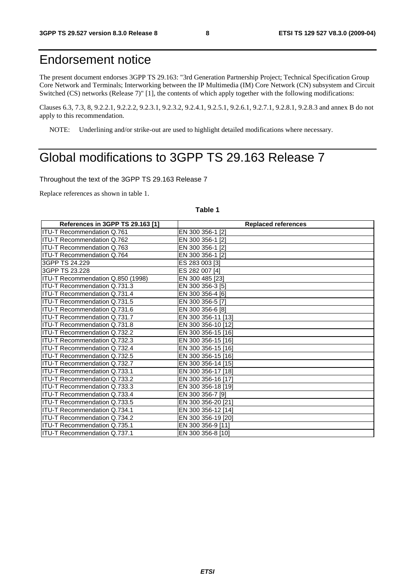### Endorsement notice

The present document endorses 3GPP TS 29.163: "3rd Generation Partnership Project; Technical Specification Group Core Network and Terminals; Interworking between the IP Multimedia (IM) Core Network (CN) subsystem and Circuit Switched (CS) networks (Release 7)" [1], the contents of which apply together with the following modifications:

Clauses 6.3, 7.3, 8, 9.2.2.1, 9.2.2.2, 9.2.3.1, 9.2.3.2, 9.2.4.1, 9.2.5.1, 9.2.6.1, 9.2.7.1, 9.2.8.1, 9.2.8.3 and annex B do not apply to this recommendation.

NOTE: Underlining and/or strike-out are used to highlight detailed modifications where necessary.

### Global modifications to 3GPP TS 29.163 Release 7

Throughout the text of the 3GPP TS 29.163 Release 7

Replace references as shown in table 1.

#### **Table 1**

| References in 3GPP TS 29.163 [1]    | <b>Replaced references</b> |
|-------------------------------------|----------------------------|
| <b>ITU-T Recommendation Q.761</b>   | EN 300 356-1 [2]           |
| ITU-T Recommendation Q.762          | EN 300 356-1 [2]           |
| <b>ITU-T Recommendation Q.763</b>   | EN 300 356-1 [2]           |
| ITU-T Recommendation Q.764          | EN 300 356-1 [2]           |
| 3GPP TS 24.229                      | ES 283 003 [3]             |
| 3GPP TS 23.228                      | ES 282 007 [4]             |
| ITU-T Recommendation Q.850 (1998)   | EN 300 485 [23]            |
| ITU-T Recommendation Q.731.3        | EN 300 356-3 [5]           |
| <b>ITU-T Recommendation Q.731.4</b> | EN 300 356-4 [6]           |
| ITU-T Recommendation Q.731.5        | EN 300 356-5 [7]           |
| ITU-T Recommendation Q.731.6        | EN 300 356-6 [8]           |
| ITU-T Recommendation Q.731.7        | EN 300 356-11 [13]         |
| ITU-T Recommendation Q.731.8        | EN 300 356-10 [12]         |
| ITU-T Recommendation Q.732.2        | EN 300 356-15 [16]         |
| ITU-T Recommendation Q.732.3        | EN 300 356-15 [16]         |
| ITU-T Recommendation Q.732.4        | EN 300 356-15 [16]         |
| ITU-T Recommendation Q.732.5        | EN 300 356-15 [16]         |
| <b>ITU-T Recommendation Q.732.7</b> | EN 300 356-14 [15]         |
| <b>ITU-T Recommendation Q.733.1</b> | EN 300 356-17 [18]         |
| ITU-T Recommendation Q.733.2        | EN 300 356-16 [17]         |
| <b>ITU-T Recommendation Q.733.3</b> | EN 300 356-18 [19]         |
| ITU-T Recommendation Q.733.4        | EN 300 356-7 [9]           |
| ITU-T Recommendation Q.733.5        | EN 300 356-20 [21]         |
| ITU-T Recommendation Q.734.1        | EN 300 356-12 [14]         |
| ITU-T Recommendation Q.734.2        | EN 300 356-19 [20]         |
| <b>ITU-T Recommendation Q.735.1</b> | EN 300 356-9 [11]          |
| ITU-T Recommendation Q.737.1        | EN 300 356-8 [10]          |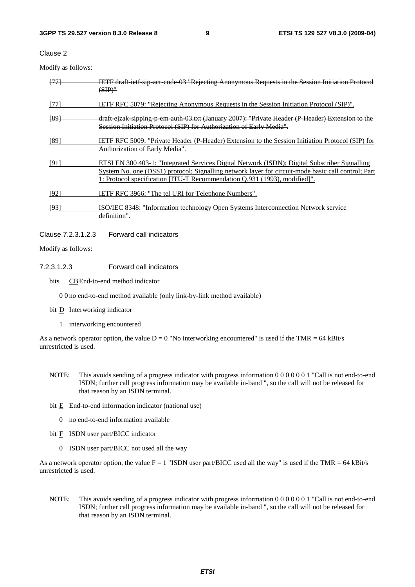Clause 2

Modify as follows:

| [77] | IETF draft ietf sip aer code 03 "Rejecting Anonymous Requests in the Session Initiation Protocol<br>$(SIP)^n$                                                                                                                                                                    |
|------|----------------------------------------------------------------------------------------------------------------------------------------------------------------------------------------------------------------------------------------------------------------------------------|
| [77] | <b>IETF RFC 5079: "Rejecting Anonymous Requests in the Session Initiation Protocol (SIP)".</b>                                                                                                                                                                                   |
| [89] | draft ejzak sipping p em auth 03.txt (January 2007): "Private Header (P Header) Extension to the<br>Session Initiation Protocol (SIP) for Authorization of Early Media".                                                                                                         |
| [89] | IETF RFC 5009: "Private Header (P-Header) Extension to the Session Initiation Protocol (SIP) for<br>Authorization of Early Media".                                                                                                                                               |
| [91] | ETSI EN 300 403-1: "Integrated Services Digital Network (ISDN); Digital Subscriber Signalling<br>System No. one (DSS1) protocol; Signalling network layer for circuit-mode basic call control; Part<br>1: Protocol specification [ITU-T Recommendation Q.931 (1993), modified]". |
| [92] | <b>IETF RFC 3966: "The tel URI for Telephone Numbers".</b>                                                                                                                                                                                                                       |
| [93] | ISO/IEC 8348: "Information technology Open Systems Interconnection Network service<br>definition".                                                                                                                                                                               |

Clause 7.2.3.1.2.3 Forward call indicators

Modify as follows:

#### 7.2.3.1.2.3 Forward call indicators

bits CB End-to-end method indicator

0 0 no end-to-end method available (only link-by-link method available)

- bit **D** Interworking indicator
	- 1 interworking encountered

As a network operator option, the value  $D = 0$  "No interworking encountered" is used if the TMR = 64 kBit/s unrestricted is used.

- NOTE: This avoids sending of a progress indicator with progress information 0 0 0 0 0 0 1 "Call is not end-to-end ISDN; further call progress information may be available in-band ", so the call will not be released for that reason by an ISDN terminal.
- bit E End-to-end information indicator (national use)
	- 0 no end-to-end information available
- bit  $\overline{F}$  ISDN user part/BICC indicator
	- 0 ISDN user part/BICC not used all the way

As a network operator option, the value  $F = 1$  "ISDN user part/BICC used all the way" is used if the TMR = 64 kBit/s unrestricted is used.

NOTE: This avoids sending of a progress indicator with progress information 0 0 0 0 0 0 1 "Call is not end-to-end ISDN; further call progress information may be available in-band ", so the call will not be released for that reason by an ISDN terminal.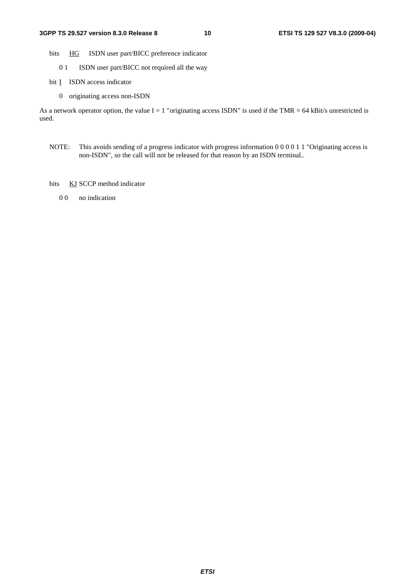- bits HG ISDN user part/BICC preference indicator
	- 0 1 ISDN user part/BICC not required all the way
- bit I ISDN access indicator
	- 0 originating access non-ISDN

As a network operator option, the value  $I = 1$  "originating access ISDN" is used if the TMR = 64 kBit/s unrestricted is used.

- NOTE: This avoids sending of a progress indicator with progress information 0 0 0 0 1 1 "Originating access is non-ISDN", so the call will not be released for that reason by an ISDN terminal..
- bits KJ SCCP method indicator
	- 0.0 no indication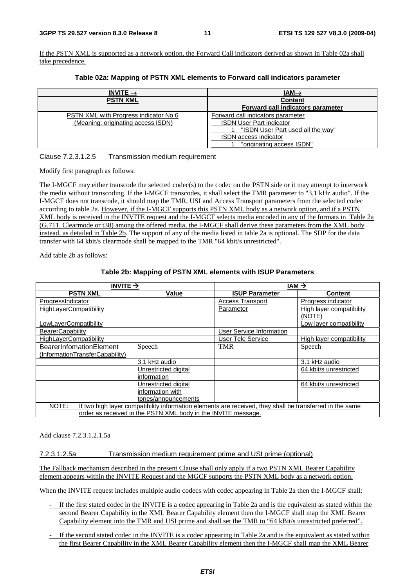If the PSTN XML is supported as a network option, the Forward Call indicators derived as shown in Table 02a shall take precedence.

| Table 02a: Mapping of PSTN XML elements to Forward call indicators parameter |  |  |
|------------------------------------------------------------------------------|--|--|
|------------------------------------------------------------------------------|--|--|

| INVITE $\rightarrow$                         | $IAM\rightarrow$                  |
|----------------------------------------------|-----------------------------------|
| <b>PSTN XML</b>                              | <b>Content</b>                    |
|                                              | Forward call indicators parameter |
| <b>PSTN XML with Progress indicator No 6</b> | Forward call indicators parameter |
| (Meaning: originating access ISDN)           | <b>ISDN User Part indicator</b>   |
|                                              | "ISDN User Part used all the way" |
|                                              | ISDN access indicator             |
|                                              | "originating access ISDN"         |

Clause 7.2.3.1.2.5 Transmission medium requirement

Modify first paragraph as follows:

The I-MGCF may either transcode the selected codec(s) to the codec on the PSTN side or it may attempt to interwork the media without transcoding. If the I-MGCF transcodes, it shall select the TMR parameter to "3,1 kHz audio". If the I-MGCF does not transcode, it should map the TMR, USI and Access Transport parameters from the selected codec according to table 2a. However, if the I-MGCF supports this PSTN XML body as a network option, and if a PSTN XML body is received in the INVITE request and the I-MGCF selects media encoded in any of the formats in Table 2a (G.711, Clearmode or t38) among the offered media, the I-MGCF shall derive these parameters from the XML body instead, as detailed in Table 2b. The support of any of the media listed in table 2a is optional. The SDP for the data transfer with 64 kbit/s clearmode shall be mapped to the TMR "64 kbit/s unrestricted".

Add table 2b as follows:

#### **Table 2b: Mapping of PSTN XML elements with ISUP Parameters**

| INVITE $\rightarrow$                                                                                              |                      |                          | $IAM \rightarrow$               |
|-------------------------------------------------------------------------------------------------------------------|----------------------|--------------------------|---------------------------------|
| <b>PSTN XML</b>                                                                                                   | Value                | <b>ISUP Parameter</b>    | <b>Content</b>                  |
| ProgressIndicator                                                                                                 |                      | <b>Access Transport</b>  | Progress indicator              |
| <b>HighLayerCompatibility</b>                                                                                     |                      | Parameter                | <b>High layer compatibility</b> |
|                                                                                                                   |                      |                          | (NOTE)                          |
| LowLayerCompatibility                                                                                             |                      |                          | Low layer compatibility         |
| <b>BearerCapability</b>                                                                                           |                      | User Service Information |                                 |
| <b>HighLayerCompatibility</b>                                                                                     |                      | <b>User Tele Service</b> | High layer compatibility        |
| BearerInfomationElement                                                                                           | Speech               | <b>TMR</b>               | <b>Speech</b>                   |
| (InformationTransferCabability)                                                                                   |                      |                          |                                 |
|                                                                                                                   | 3.1 kHz audio        |                          | 3.1 kHz audio                   |
|                                                                                                                   | Unrestricted digital |                          | 64 kbit/s unrestricted          |
|                                                                                                                   | information          |                          |                                 |
|                                                                                                                   | Unrestricted digital |                          | 64 kbit/s unrestricted          |
|                                                                                                                   | information with     |                          |                                 |
|                                                                                                                   | tones/announcements  |                          |                                 |
| NOTE:<br>If two high layer compatibility information elements are received, they shall be transferred in the same |                      |                          |                                 |
| order as received in the PSTN XML body in the INVITE message.                                                     |                      |                          |                                 |

Add clause 7.2.3.1.2.1.5a

7.2.3.1.2.5a Transmission medium requirement prime and USI prime (optional)

The Fallback mechanism described in the present Clause shall only apply if a two PSTN XML Bearer Capability element appears within the INVITE Request and the MGCF supports the PSTN XML body as a network option.

When the INVITE request includes multiple audio codecs with codec appearing in Table 2a then the I-MGCF shall:

- If the first stated codec in the INVITE is a codec appearing in Table 2a and is the equivalent as stated within the second Bearer Capability in the XML Bearer Capability element then the I-MGCF shall map the XML Bearer Capability element into the TMR and USI prime and shall set the TMR to "64 kBit/s unrestricted preferred".
- If the second stated codec in the INVITE is a codec appearing in Table 2a and is the equivalent as stated within the first Bearer Capability in the XML Bearer Capability element then the I-MGCF shall map the XML Bearer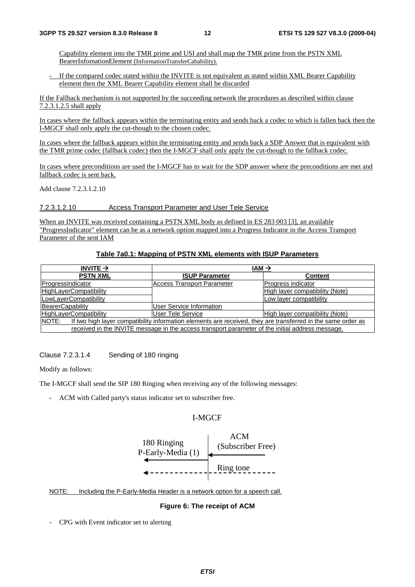Capability element into the TMR prime and USI and shall map the TMR prime from the PSTN XML BearerInfomationElement (InformationTransferCabability).

If the compared codec stated within the INVITE is not equivalent as stated within XML Bearer Capability element then the XML Bearer Capability element shall be discarded

If the Fallback mechanism is not supported by the succeeding network the procedures as described within clause 7.2.3.1.2.5 shall apply

In cases where the fallback appears within the terminating entity and sends back a codec to which is fallen back then the I-MGCF shall only apply the cut-though to the chosen codec.

In cases where the fallback appears within the terminating entity and sends back a SDP Answer that is equivalent with the TMR prime codec (fallback codec) then the I-MGCF shall only apply the cut-though to the fallback codec.

In cases where preconditions are used the I-MGCF has to wait for the SDP answer where the preconditions are met and fallback codec is sent back.

Add clause 7.2.3.1.2.10

7.2.3.1.2.10 Access Transport Parameter and User Tele Service

When an INVITE was received containing a PSTN XML body as defined in ES 283 003 [3], an available "ProgressIndicator" element can be as a network option mapped into a Progress Indicator in the Access Transport Parameter of the sent IAM

#### **Table 7a0.1: Mapping of PSTN XML elements with ISUP Parameters**

| INVITE $\rightarrow$                                                                                                  | $IAM \rightarrow$                 |                                 |
|-----------------------------------------------------------------------------------------------------------------------|-----------------------------------|---------------------------------|
| <b>PSTN XML</b>                                                                                                       | <b>ISUP Parameter</b>             | <b>Content</b>                  |
| ProgressIndicator                                                                                                     | <b>Access Transport Parameter</b> | Progress indicator              |
| <b>HighLayerCompatibility</b>                                                                                         |                                   | High layer compatibility (Note) |
| LowLayerCompatibility                                                                                                 |                                   | Low layer compatibility         |
| BearerCapability                                                                                                      | <b>User Service Information</b>   |                                 |
| <b>HighLayerCompatibility</b>                                                                                         | User Tele Service                 | High layer compatibility (Note) |
| NOTE:<br>If two high layer compatibility information elements are received, they are transferred in the same order as |                                   |                                 |
| received in the INVITE message in the access transport parameter of the initial address message.                      |                                   |                                 |

Clause 7.2.3.1.4 Sending of 180 ringing

Modify as follows:

The I-MGCF shall send the SIP 180 Ringing when receiving any of the following messages:

- ACM with Called party's status indicator set to subscriber free.

### I-MGCF



#### NOTE: Including the P-Early-Media Header is a network option for a speech call.

#### **Figure 6: The receipt of ACM**

- CPG with Event indicator set to alerting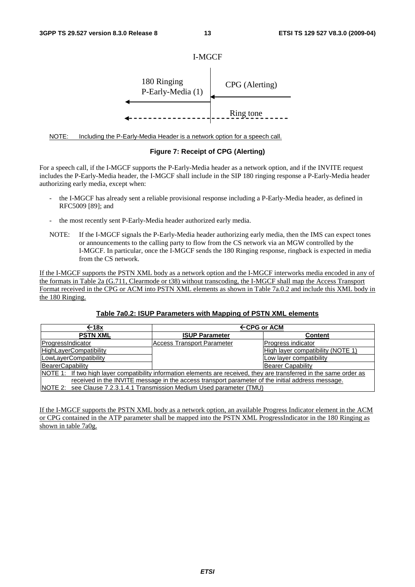

NOTE: Including the P-Early-Media Header is a network option for a speech call.

#### **Figure 7: Receipt of CPG (Alerting)**

For a speech call, if the I-MGCF supports the P-Early-Media header as a network option, and if the INVITE request includes the P-Early-Media header, the I-MGCF shall include in the SIP 180 ringing response a P-Early-Media header authorizing early media, except when:

- the I-MGCF has already sent a reliable provisional response including a P-Early-Media header, as defined in RFC5009 [89]; and
- the most recently sent P-Early-Media header authorized early media.
- NOTE: If the I-MGCF signals the P-Early-Media header authorizing early media, then the IMS can expect tones or announcements to the calling party to flow from the CS network via an MGW controlled by the I-MGCF. In particular, once the I-MGCF sends the 180 Ringing response, ringback is expected in media from the CS network.

If the I-MGCF supports the PSTN XML body as a network option and the I-MGCF interworks media encoded in any of the formats in Table 2a (G.711, Clearmode or t38) without transcoding, the I-MGCF shall map the Access Transport Format received in the CPG or ACM into PSTN XML elements as shown in Table 7a.0.2 and include this XML body in the 180 Ringing.

| $\leftarrow$ 18x                                                                                                     | $\leftarrow$ CPG or ACM           |                                   |
|----------------------------------------------------------------------------------------------------------------------|-----------------------------------|-----------------------------------|
| <b>PSTN XML</b>                                                                                                      | <b>ISUP Parameter</b>             | <b>Content</b>                    |
| ProgressIndicator                                                                                                    | <b>Access Transport Parameter</b> | Progress indicator                |
| HighLayerCompatibility                                                                                               |                                   | High layer compatibility (NOTE 1) |
| LowLayerCompatibility                                                                                                |                                   | Low layer compatibility           |
| BearerCapability                                                                                                     |                                   | <b>Bearer Capability</b>          |
| NOTE 1: If two high layer compatibility information elements are received, they are transferred in the same order as |                                   |                                   |
| received in the INVITE message in the access transport parameter of the initial address message.                     |                                   |                                   |
| NOTE 2: see Clause 7.2.3.1.4.1 Transmission Medium Used parameter (TMU)                                              |                                   |                                   |

#### **Table 7a0.2: ISUP Parameters with Mapping of PSTN XML elements**

If the I-MGCF supports the PSTN XML body as a network option, an available Progress Indicator element in the ACM or CPG contained in the ATP parameter shall be mapped into the PSTN XML ProgressIndicator in the 180 Ringing as shown in table 7a0g.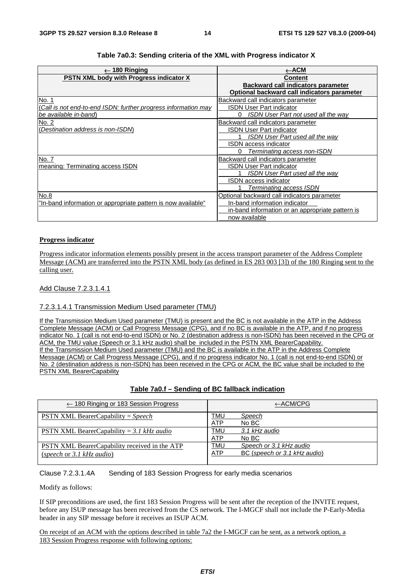| 180 Ringing                                                    | ←АСМ                                             |
|----------------------------------------------------------------|--------------------------------------------------|
| <b>PSTN XML body with Progress indicator X</b>                 | <b>Content</b>                                   |
|                                                                | Backward call indicators parameter               |
|                                                                | Optional backward call indicators parameter      |
| No. 1                                                          | Backward call indicators parameter               |
| (Call is not end-to-end ISDN: further progress information may | ISDN User Part indicator                         |
| be available in-band)                                          | ISDN User Part not used all the way              |
| No. 2                                                          | Backward call indicators parameter               |
| (Destination address is non-ISDM)                              | <b>ISDN User Part indicator</b>                  |
|                                                                | <b>ISDN User Part used all the way</b>           |
|                                                                | ISDN access indicator                            |
|                                                                | Terminating access non-ISDN<br>0                 |
| No. 7                                                          | Backward call indicators parameter               |
| meaning: Terminating access ISDN                               | ISDN User Part indicator                         |
|                                                                | ISDN User Part used all the way                  |
|                                                                | <b>ISDN</b> access indicator                     |
|                                                                | Terminating access ISDN                          |
| No.8                                                           | Optional backward call indicators parameter      |
| "In-band information or appropriate pattern is now available"  | In-band information indicator                    |
|                                                                | in-band information or an appropriate pattern is |
|                                                                | now available                                    |

#### **Table 7a0.3: Sending criteria of the XML with Progress indicator X**

#### **Progress indicator**

Progress indicator information elements possibly present in the access transport parameter of the Address Complete Message (ACM) are transferred into the PSTN XML body (as defined in ES 283 003 [3]) of the 180 Ringing sent to the calling user.

#### Add Clause 7.2.3.1.4.1

#### 7.2.3.1.4.1 Transmission Medium Used parameter (TMU)

If the Transmission Medium Used parameter (TMU) is present and the BC is not available in the ATP in the Address Complete Message (ACM) or Call Progress Message (CPG), and if no BC is available in the ATP, and if no progress indicator No. 1 (call is not end-to-end ISDN) or No. 2 (destination address is non-ISDN) has been received in the CPG or ACM, the TMU value (Speech or 3.1 kHz audio) shall be included in the PSTN XML BearerCapability. If the Transmission Medium Used parameter (TMU) and the BC is available in the ATP in the Address Complete Message (ACM) or Call Progress Message (CPG), and if no progress indicator No. 1 (call is not end-to-end ISDN) or No. 2 (destination address is non-ISDN) has been received in the CPG or ACM, the BC value shall be included to the PSTN XML BearerCapability

#### **Table 7a0.f – Sending of BC fallback indication**

| $\leftarrow$ 180 Ringing or 183 Session Progress                           | $\leftarrow$ ACM/CPG                                                         |
|----------------------------------------------------------------------------|------------------------------------------------------------------------------|
| <b>PSTN XML BearerCapability</b> = Speech                                  | TMU<br>Speech<br>No BC<br><b>ATP</b>                                         |
| <b>PSTN XML BearerCapability</b> = 3.1 kHz audio                           | TMU<br>3.1 kHz audio<br>ATP<br>No BC                                         |
| PSTN XML BearerCapability received in the ATP<br>(speech or 3.1 kHz audio) | TMU<br>Speech or 3.1 kHz audio<br>BC (speech or 3.1 kHz audio)<br><b>ATP</b> |

#### Clause 7.2.3.1.4A Sending of 183 Session Progress for early media scenarios

Modify as follows:

If SIP preconditions are used, the first 183 Session Progress will be sent after the reception of the INVITE request, before any ISUP message has been received from the CS network. The I-MGCF shall not include the P-Early-Media header in any SIP message before it receives an ISUP ACM.

On receipt of an ACM with the options described in table 7a2 the I-MGCF can be sent, as a network option, a 183 Session Progress response with following options: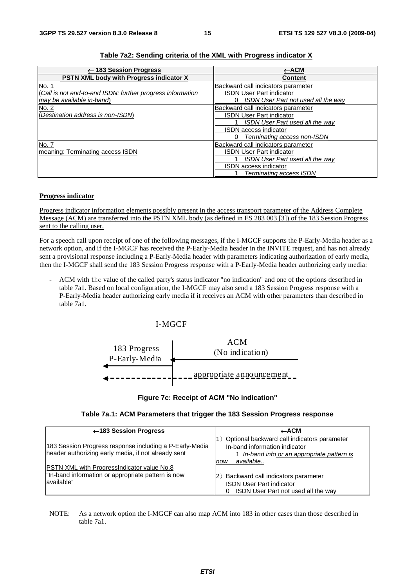| $\leftarrow$ 183 Session Progress                          | $\leftarrow$ ACM                           |
|------------------------------------------------------------|--------------------------------------------|
| <b>PSTN XML body with Progress indicator X</b>             | <b>Content</b>                             |
| No. 1                                                      | Backward call indicators parameter         |
| (Call is not end-to-end ISDN: further progress information | <b>ISDN User Part indicator</b>            |
| may be available in-band)                                  | <b>ISDN User Part not used all the way</b> |
| No. 2                                                      | Backward call indicators parameter         |
| (Destination address is non-ISDM)                          | <b>ISDN User Part indicator</b>            |
|                                                            | <b>ISDN User Part used all the way</b>     |
|                                                            | <b>ISDN</b> access indicator               |
|                                                            | Terminating access non-ISDN                |
| No. 7                                                      | Backward call indicators parameter         |
| Imeaning: Terminating access ISDN                          | <b>ISDN User Part indicator</b>            |
|                                                            | <b>ISDN User Part used all the way</b>     |
|                                                            | <b>ISDN</b> access indicator               |
|                                                            | Terminating access ISDN                    |

#### **Progress indicator**

Progress indicator information elements possibly present in the access transport parameter of the Address Complete Message (ACM) are transferred into the PSTN XML body (as defined in ES 283 003 [3]) of the 183 Session Progress sent to the calling user.

For a speech call upon receipt of one of the following messages, if the I-MGCF supports the P-Early-Media header as a network option, and if the I-MGCF has received the P-Early-Media header in the INVITE request, and has not already sent a provisional response including a P-Early-Media header with parameters indicating authorization of early media, then the I-MGCF shall send the 183 Session Progress response with a P-Early-Media header authorizing early media:

- ACM with the value of the called party's status indicator "no indication" and one of the options described in table 7a1. Based on local configuration, the I-MGCF may also send a 183 Session Progress response with a P-Early-Media header authorizing early media if it receives an ACM with other parameters than described in table 7a1.

#### I-MGCF



#### **Figure 7c: Receipt of ACM "No indication"**

| ←183 Session Progress                                                                                                 | $\leftarrow$ ACM                                                                                                                                   |
|-----------------------------------------------------------------------------------------------------------------------|----------------------------------------------------------------------------------------------------------------------------------------------------|
| 183 Session Progress response including a P-Early-Media<br>header authorizing early media, if not already sent        | 1) Optional backward call indicators parameter<br>In-band information indicator<br>1 In-band info or an appropriate pattern is<br>available<br>now |
| <b>PSTN XML with ProgressIndicator value No.8</b><br>"In-band information or appropriate pattern is now<br>available" | (2) Backward call indicators parameter<br><b>ISDN User Part indicator</b><br>ISDN User Part not used all the way                                   |

NOTE: As a network option the I-MGCF can also map ACM into 183 in other cases than those described in table 7a1.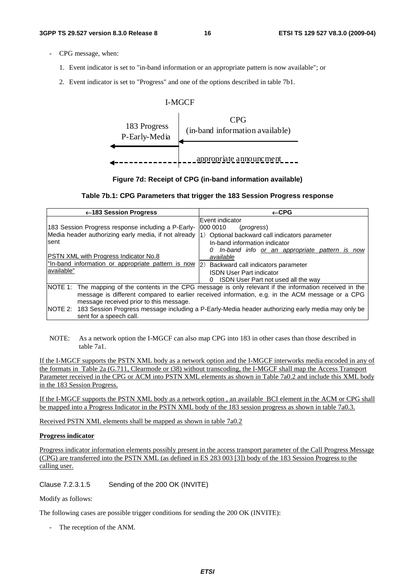- CPG message, when:
	- 1. Event indicator is set to "in-band information or an appropriate pattern is now available"; or
	- 2. Event indicator is set to "Progress" and one of the options described in table 7b1.



**Figure 7d: Receipt of CPG (in-band information available)** 



| $\leftarrow$ 183 Session Progress                                                                                                                                                                                                                                                    | $\leftarrow$ CPG                                                                                                                                                                                                           |
|--------------------------------------------------------------------------------------------------------------------------------------------------------------------------------------------------------------------------------------------------------------------------------------|----------------------------------------------------------------------------------------------------------------------------------------------------------------------------------------------------------------------------|
| 183 Session Progress response including a P-Early-<br>Media header authorizing early media, if not already (1) Optional backward call indicators parameter<br>sent<br>PSTN XML with Progress Indicator No.8<br>"In-band information or appropriate pattern is now  2)<br>lavailable" | Event indicator<br>000 0010<br>( <i>progress</i> )<br>In-band information indicator<br>In-band info or an appropriate pattern is now<br>available<br>Backward call indicators parameter<br><b>ISDN User Part indicator</b> |
|                                                                                                                                                                                                                                                                                      | ISDN User Part not used all the way<br>NOTE 1: The mapping of the contents in the CPG message is only relevant if the information received in the                                                                          |
| message received prior to this message.<br>sent for a speech call.                                                                                                                                                                                                                   | message is different compared to earlier received information, e.g. in the ACM message or a CPG<br>NOTE 2: 183 Session Progress message including a P-Early-Media header authorizing early media may only be               |

NOTE: As a network option the I-MGCF can also map CPG into 183 in other cases than those described in table 7a1.

If the I-MGCF supports the PSTN XML body as a network option and the I-MGCF interworks media encoded in any of the formats in Table 2a (G.711, Clearmode or t38) without transcoding, the I-MGCF shall map the Access Transport Parameter received in the CPG or ACM into PSTN XML elements as shown in Table 7a0.2 and include this XML body in the 183 Session Progress.

If the I-MGCF supports the PSTN XML body as a network option , an available BCI element in the ACM or CPG shall be mapped into a Progress Indicator in the PSTN XML body of the 183 session progress as shown in table 7a0.3.

Received PSTN XML elements shall be mapped as shown in table 7a0.2

#### **Progress indicator**

Progress indicator information elements possibly present in the access transport parameter of the Call Progress Message (CPG) are transferred into the PSTN XML (as defined in ES 283 003 [3]) body of the 183 Session Progress to the calling user.

Clause 7.2.3.1.5 Sending of the 200 OK (INVITE)

Modify as follows:

The following cases are possible trigger conditions for sending the 200 OK (INVITE):

- The reception of the ANM.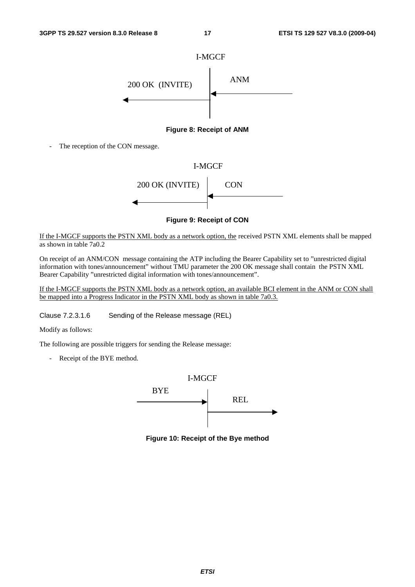

**Figure 8: Receipt of ANM** 

The reception of the CON message.



**Figure 9: Receipt of CON** 

If the I-MGCF supports the PSTN XML body as a network option, the received PSTN XML elements shall be mapped as shown in table 7a0.2

On receipt of an ANM/CON message containing the ATP including the Bearer Capability set to "unrestricted digital information with tones/announcement" without TMU parameter the 200 OK message shall contain the PSTN XML Bearer Capability "unrestricted digital information with tones/announcement".

If the I-MGCF supports the PSTN XML body as a network option, an available BCI element in the ANM or CON shall be mapped into a Progress Indicator in the PSTN XML body as shown in table 7a0.3.

Clause 7.2.3.1.6 Sending of the Release message (REL)

Modify as follows:

The following are possible triggers for sending the Release message:

- Receipt of the BYE method.



**Figure 10: Receipt of the Bye method**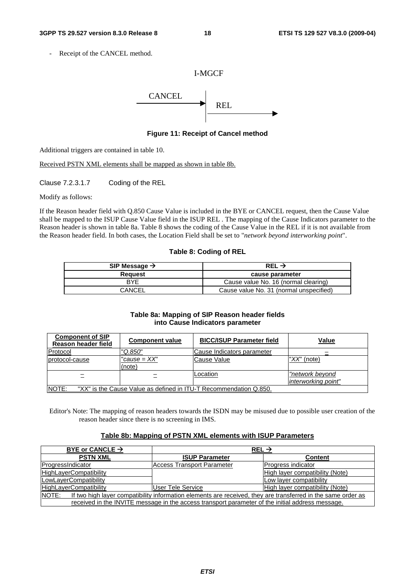Receipt of the CANCEL method.

#### I-MGCF



**Figure 11: Receipt of Cancel method** 

Additional triggers are contained in table 10.

Received PSTN XML elements shall be mapped as shown in table 8b.

Clause 7.2.3.1.7 Coding of the REL

Modify as follows:

If the Reason header field with Q.850 Cause Value is included in the BYE or CANCEL request, then the Cause Value shall be mapped to the ISUP Cause Value field in the ISUP REL . The mapping of the Cause Indicators parameter to the Reason header is shown in table 8a. Table 8 shows the coding of the Cause Value in the REL if it is not available from the Reason header field. In both cases, the Location Field shall be set to "*network beyond interworking point*".

#### **Table 8: Coding of REL**

| SIP Message $\rightarrow$ | REL $\rightarrow$                       |  |
|---------------------------|-----------------------------------------|--|
| Reauest                   | cause parameter                         |  |
| RYF                       | Cause value No. 16 (normal clearing)    |  |
| CANCEL                    | Cause value No. 31 (normal unspecified) |  |

#### **Table 8a: Mapping of SIP Reason header fields into Cause Indicators parameter**

| <b>Component of SIP</b><br>Reason header field                             | <b>Component value</b> | <b>BICC/ISUP Parameter field</b> | Value                                  |
|----------------------------------------------------------------------------|------------------------|----------------------------------|----------------------------------------|
| Protocol                                                                   | 'Q.850"                | Cause Indicators parameter       |                                        |
| protocol-cause                                                             | "cause = XX"<br>(note) | Cause Value                      | " $XX$ " (note)                        |
| $\overline{\phantom{a}}$                                                   |                        | Location                         | "network beyond<br>interworking point" |
| NOTE:<br>"XX" is the Cause Value as defined in ITU-T Recommendation Q.850. |                        |                                  |                                        |

Editor's Note: The mapping of reason headers towards the ISDN may be misused due to possible user creation of the reason header since there is no screening in IMS.

#### **Table 8b: Mapping of PSTN XML elements with ISUP Parameters**

| BYE or CANCLE $\rightarrow$                                                                                           | REL $\rightarrow$          |                                 |
|-----------------------------------------------------------------------------------------------------------------------|----------------------------|---------------------------------|
| <b>PSTN XML</b>                                                                                                       | <b>ISUP Parameter</b>      | <b>Content</b>                  |
| ProgressIndicator                                                                                                     | Access Transport Parameter | Progress indicator              |
| <b>HighLayerCompatibility</b>                                                                                         |                            | High layer compatibility (Note) |
| LowLayerCompatibility                                                                                                 |                            | Low layer compatibility         |
| <b>HighLayerCompatibility</b>                                                                                         | User Tele Service          | High layer compatibility (Note) |
| NOTE:<br>If two high layer compatibility information elements are received, they are transferred in the same order as |                            |                                 |
| received in the INVITE message in the access transport parameter of the initial address message.                      |                            |                                 |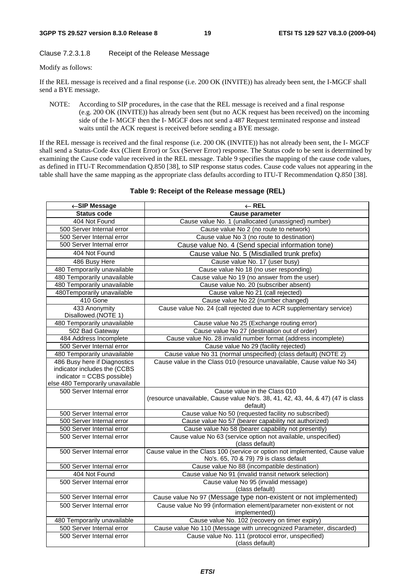#### Clause 7.2.3.1.8 Receipt of the Release Message

Modify as follows:

If the REL message is received and a final response (i.e. 200 OK (INVITE)) has already been sent, the I-MGCF shall send a BYE message.

NOTE: According to SIP procedures, in the case that the REL message is received and a final response (e.g. 200 OK (INVITE)) has already been sent (but no ACK request has been received) on the incoming side of the I- MGCF then the I- MGCF does not send a 487 Request terminated response and instead waits until the ACK request is received before sending a BYE message.

If the REL message is received and the final response (i.e. 200 OK (INVITE)) has not already been sent, the I- MGCF shall send a Status-Code 4xx (Client Error) or 5xx (Server Error) response. The Status code to be sent is determined by examining the Cause code value received in the REL message. Table 9 specifies the mapping of the cause code values, as defined in ITU-T Recommendation Q.850 [38], to SIP response status codes. Cause code values not appearing in the table shall have the same mapping as the appropriate class defaults according to ITU-T Recommendation Q.850 [38].

| ←SIP Message                         | $\leftarrow$ REL                                                                            |  |  |
|--------------------------------------|---------------------------------------------------------------------------------------------|--|--|
| <b>Status code</b>                   | <b>Cause parameter</b>                                                                      |  |  |
| 404 Not Found                        | Cause value No. 1 (unallocated (unassigned) number)                                         |  |  |
| 500 Server Internal error            | Cause value No 2 (no route to network)                                                      |  |  |
| 500 Server Internal error            | Cause value No 3 (no route to destination)                                                  |  |  |
| 500 Server Internal error            | Cause value No. 4 (Send special information tone)                                           |  |  |
| 404 Not Found                        | Cause value No. 5 (Misdialled trunk prefix)                                                 |  |  |
| 486 Busy Here                        | Cause value No. 17 (user busy)                                                              |  |  |
| 480 Temporarily unavailable          | Cause value No 18 (no user responding)                                                      |  |  |
| 480 Temporarily unavailable          | Cause value No 19 (no answer from the user)                                                 |  |  |
| 480 Temporarily unavailable          | Cause value No. 20 (subscriber absent)                                                      |  |  |
| 480Temporarily unavailable           | Cause value No 21 (call rejected)                                                           |  |  |
| 410 Gone                             | Cause value No 22 (number changed)                                                          |  |  |
| 433 Anonymity<br>Disallowed.(NOTE 1) | Cause value No. 24 (call rejected due to ACR supplementary service)                         |  |  |
| 480 Temporarily unavailable          | Cause value No 25 (Exchange routing error)                                                  |  |  |
| 502 Bad Gateway                      | Cause value No 27 (destination out of order)                                                |  |  |
| 484 Address Incomplete               | Cause value No. 28 invalid number format (address incomplete)                               |  |  |
| 500 Server Internal error            | Cause value No 29 (facility rejected)                                                       |  |  |
| 480 Temporarily unavailable          | Cause value No 31 (normal unspecified) (class default) (NOTE 2)                             |  |  |
| 486 Busy here if Diagnostics         | Cause value in the Class 010 (resource unavailable, Cause value No 34)                      |  |  |
| indicator includes the (CCBS         |                                                                                             |  |  |
| indicator = CCBS possible)           |                                                                                             |  |  |
| else 480 Temporarily unavailable     |                                                                                             |  |  |
| 500 Server Internal error            | Cause value in the Class 010                                                                |  |  |
|                                      | (resource unavailable, Cause value No's. 38, 41, 42, 43, 44, & 47) (47 is class<br>default) |  |  |
| 500 Server Internal error            | Cause value No 50 (requested facility no subscribed)                                        |  |  |
| 500 Server Internal error            | Cause value No 57 (bearer capability not authorized)                                        |  |  |
| 500 Server Internal error            | Cause value No 58 (bearer capability not presently)                                         |  |  |
| 500 Server Internal error            | Cause value No 63 (service option not available, unspecified)                               |  |  |
|                                      | (class default)                                                                             |  |  |
| 500 Server Internal error            | Cause value in the Class 100 (service or option not implemented, Cause value                |  |  |
|                                      | No's. 65, 70 & 79) 79 is class default                                                      |  |  |
| 500 Server Internal error            | Cause value No 88 (incompatible destination)                                                |  |  |
| 404 Not Found                        | Cause value No 91 (invalid transit network selection)                                       |  |  |
| 500 Server Internal error            | Cause value No 95 (invalid message)<br>(class default)                                      |  |  |
| 500 Server Internal error            | Cause value No 97 (Message type non-existent or not implemented)                            |  |  |
| 500 Server Internal error            | Cause value No 99 (information element/parameter non-existent or not                        |  |  |
|                                      | implemented))                                                                               |  |  |
| 480 Temporarily unavailable          | Cause value No. 102 (recovery on timer expiry)                                              |  |  |
| 500 Server Internal error            | Cause value No 110 (Message with unrecognized Parameter, discarded)                         |  |  |
| 500 Server Internal error            | Cause value No. 111 (protocol error, unspecified)                                           |  |  |
|                                      | (class default)                                                                             |  |  |

#### **Table 9: Receipt of the Release message (REL)**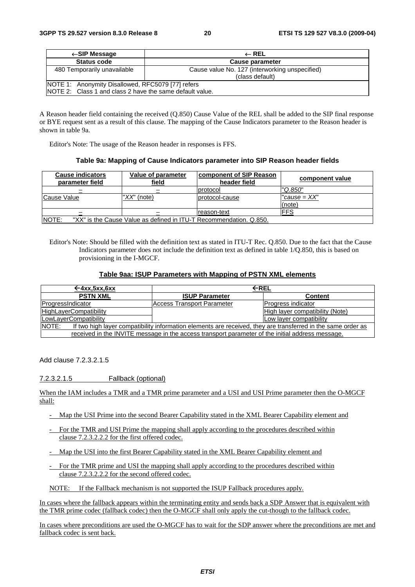| $\leftarrow$ SIP Message                                                                                      | $\leftarrow$ REL                                                  |  |
|---------------------------------------------------------------------------------------------------------------|-------------------------------------------------------------------|--|
| <b>Status code</b>                                                                                            | Cause parameter                                                   |  |
| 480 Temporarily unavailable                                                                                   | Cause value No. 127 (interworking unspecified)<br>(class default) |  |
| NOTE 1: Anonymity Disallowed, RFC5079 [77] refers<br>NOTE 2: Class 1 and class 2 have the same default value. |                                                                   |  |

A Reason header field containing the received (Q.850) Cause Value of the REL shall be added to the SIP final response or BYE request sent as a result of this clause. The mapping of the Cause Indicators parameter to the Reason header is shown in table 9a.

Editor's Note: The usage of the Reason header in responses is FFS.

#### **Table 9a: Mapping of Cause Indicators parameter into SIP Reason header fields**

| <b>Cause indicators</b><br>parameter field | Value of parameter<br>field                                        | <b>component of SIP Reason</b><br>header field | component value          |
|--------------------------------------------|--------------------------------------------------------------------|------------------------------------------------|--------------------------|
|                                            |                                                                    | protocol                                       | "Q.850"                  |
| Cause Value                                | " $XX$ " (note)                                                    | protocol-cause                                 | $"cause = XX"$<br>(note) |
|                                            |                                                                    | Ireason-text                                   | FFS                      |
| NOTE:                                      | "XX" is the Cause Value as defined in ITU-T Recommendation. Q.850. |                                                |                          |

Editor's Note: Should be filled with the definition text as stated in ITU-T Rec. Q.850. Due to the fact that the Cause Indicators parameter does not include the definition text as defined in table 1/Q.850, this is based on provisioning in the I-MGCF.

#### **Table 9aa: ISUP Parameters with Mapping of PSTN XML elements**

| $\leftarrow$ 4xx, 5xx, 6xx                                                                                                    | ←REL                       |                                 |  |
|-------------------------------------------------------------------------------------------------------------------------------|----------------------------|---------------------------------|--|
| <b>PSTN XML</b>                                                                                                               | <b>ISUP Parameter</b>      | <b>Content</b>                  |  |
| ProgressIndicator                                                                                                             | Access Transport Parameter | Progress indicator              |  |
| <b>HighLayerCompatibility</b>                                                                                                 |                            | High layer compatibility (Note) |  |
| LowLayerCompatibility                                                                                                         |                            | Low layer compatibility         |  |
| <b>INOTE:</b><br>If two high layer compatibility information elements are received, they are transferred in the same order as |                            |                                 |  |
| received in the INVITE message in the access transport parameter of the initial address message.                              |                            |                                 |  |

Add clause 7.2.3.2.1.5

7.2.3.2.1.5 Fallback (optional)

When the IAM includes a TMR and a TMR prime parameter and a USI and USI Prime parameter then the O-MGCF shall:

- Map the USI Prime into the second Bearer Capability stated in the XML Bearer Capability element and
- For the TMR and USI Prime the mapping shall apply according to the procedures described within clause 7.2.3.2.2.2 for the first offered codec.
- Map the USI into the first Bearer Capability stated in the XML Bearer Capability element and
- For the TMR prime and USI the mapping shall apply according to the procedures described within clause 7.2.3.2.2.2 for the second offered codec.
- NOTE: If the Fallback mechanism is not supported the ISUP Fallback procedures apply.

In cases where the fallback appears within the terminating entity and sends back a SDP Answer that is equivalent with the TMR prime codec (fallback codec) then the O-MGCF shall only apply the cut-though to the fallback codec.

In cases where preconditions are used the O-MGCF has to wait for the SDP answer where the preconditions are met and fallback codec is sent back.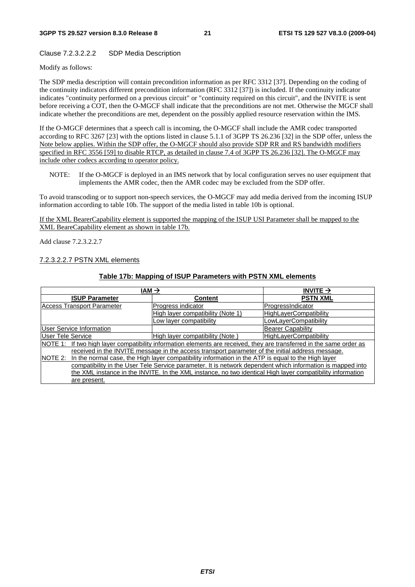#### Clause 7.2.3.2.2.2 SDP Media Description

Modify as follows:

The SDP media description will contain precondition information as per RFC 3312 [37]. Depending on the coding of the continuity indicators different precondition information (RFC 3312 [37]) is included. If the continuity indicator indicates "continuity performed on a previous circuit" or "continuity required on this circuit", and the INVITE is sent before receiving a COT, then the O-MGCF shall indicate that the preconditions are not met. Otherwise the MGCF shall indicate whether the preconditions are met, dependent on the possibly applied resource reservation within the IMS.

If the O-MGCF determines that a speech call is incoming, the O-MGCF shall include the AMR codec transported according to RFC 3267 [23] with the options listed in clause 5.1.1 of 3GPP TS 26.236 [32] in the SDP offer, unless the Note below applies. Within the SDP offer, the O-MGCF should also provide SDP RR and RS bandwidth modifiers specified in RFC 3556 [59] to disable RTCP, as detailed in clause 7.4 of 3GPP TS 26.236 [32]. The O-MGCF may include other codecs according to operator policy.

NOTE: If the O-MGCF is deployed in an IMS network that by local configuration serves no user equipment that implements the AMR codec, then the AMR codec may be excluded from the SDP offer.

To avoid transcoding or to support non-speech services, the O-MGCF may add media derived from the incoming ISUP information according to table 10b. The support of the media listed in table 10b is optional.

If the XML BearerCapability element is supported the mapping of the ISUP USI Parameter shall be mapped to the XML BeareCapability element as shown in table 17b.

Add clause 7.2.3.2.2.7

#### 7.2.3.2.2.7 PSTN XML elements

#### **Table 17b: Mapping of ISUP Parameters with PSTN XML elements**

| $IAM \rightarrow$                                                                                                    |                                   | INVITE $\rightarrow$          |  |
|----------------------------------------------------------------------------------------------------------------------|-----------------------------------|-------------------------------|--|
| <b>ISUP Parameter</b>                                                                                                | <b>Content</b>                    | <b>PSTN XML</b>               |  |
| <b>Access Transport Parameter</b>                                                                                    | Progress indicator                | ProgressIndicator             |  |
|                                                                                                                      | High layer compatibility (Note 1) | <b>HighLayerCompatibility</b> |  |
|                                                                                                                      | Low layer compatibility           | LowLayerCompatibility         |  |
| <b>User Service Information</b>                                                                                      |                                   | <b>Bearer Capability</b>      |  |
| User Tele Service                                                                                                    | High layer compatibility (Note)   | <b>HighLayerCompatibility</b> |  |
| NOTE 1: If two high layer compatibility information elements are received, they are transferred in the same order as |                                   |                               |  |
| received in the INVITE message in the access transport parameter of the initial address message.                     |                                   |                               |  |
| In the normal case, the High layer compatibility information in the ATP is equal to the High layer<br>NOTE 2:        |                                   |                               |  |
| compatibility in the User Tele Service parameter. It is network dependent which information is mapped into           |                                   |                               |  |
| the XML instance in the INVITE. In the XML instance, no two identical High layer compatibility information           |                                   |                               |  |
| are present.                                                                                                         |                                   |                               |  |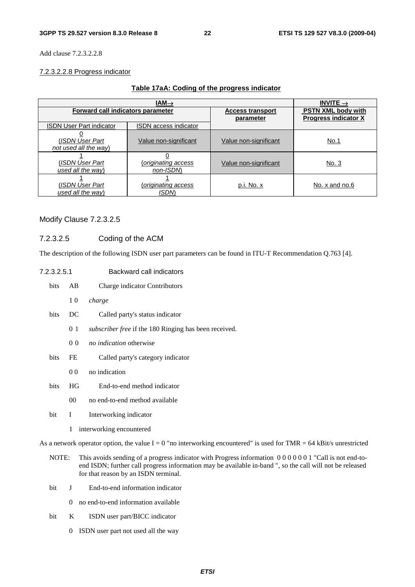Add clause 7.2.3.2.2.8

#### 7.2.3.2.2.8 Progress indicator

#### **Table 17aA: Coding of the progress indicator**

| $IAM\rightarrow$                         |                                 |                                      | INVITE $\rightarrow$                                     |
|------------------------------------------|---------------------------------|--------------------------------------|----------------------------------------------------------|
| Forward call indicators parameter        |                                 | <b>Access transport</b><br>parameter | <b>PSTN XML body with</b><br><b>Progress indicator X</b> |
| <b>ISDN User Part indicator</b>          | <b>ISDN</b> access indicator    |                                      |                                                          |
| (ISDN User Part<br>not used all the way) | Value non-significant           | Value non-significant                | No.1                                                     |
| (ISDN User Part<br>used all the way)     | originating access)<br>non-ISDN | Value non-significant                | <u>No. 3</u>                                             |
| (ISDN User Part<br>used all the way)     | (originating access<br>ISDM     | p.i. No. x                           | No. x and no.6                                           |

#### Modify Clause 7.2.3.2.5

### 7.2.3.2.5 Coding of the ACM

The description of the following ISDN user part parameters can be found in ITU-T Recommendation Q.763 [4].

| 7.2.3.2.5.1<br>Backward call indicators |                |                                                       |
|-----------------------------------------|----------------|-------------------------------------------------------|
| bits                                    | AB             | Charge indicator Contributors                         |
|                                         | 10             | charge                                                |
| <b>bits</b>                             | DC             | Called party's status indicator                       |
|                                         | 0 1            | subscriber free if the 180 Ringing has been received. |
|                                         | 0 <sub>0</sub> | <i>no indication</i> otherwise                        |
| bits                                    | FE             | Called party's category indicator                     |
|                                         | 0 <sub>0</sub> | no indication                                         |
| <b>bits</b>                             | HG             | End-to-end method indicator                           |
|                                         | 00             | no end-to-end method available                        |
| bit                                     | I              | Interworking indicator                                |
|                                         | 1              | interworking encountered                              |

As a network operator option, the value  $I = 0$  "no interworking encountered" is used for TMR = 64 kBit/s unrestricted

- NOTE: This avoids sending of a progress indicator with Progress information 0 0 0 0 0 0 1 "Call is not end-toend ISDN; further call progress information may be available in-band ", so the call will not be released for that reason by an ISDN terminal.
- bit J End-to-end information indicator
	- 0 no end-to-end information available
- bit K ISDN user part/BICC indicator
	- 0 ISDN user part not used all the way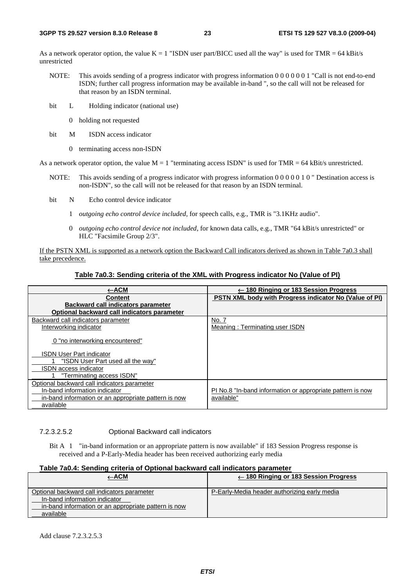As a network operator option, the value  $K = 1$  "ISDN user part/BICC used all the way" is used for TMR = 64 kBit/s unrestricted

- NOTE: This avoids sending of a progress indicator with progress information 0 0 0 0 0 0 1 "Call is not end-to-end ISDN; further call progress information may be available in-band ", so the call will not be released for that reason by an ISDN terminal.
- bit L Holding indicator (national use)
	- 0 holding not requested
- bit M ISDN access indicator
	- 0 terminating access non-ISDN

As a network operator option, the value  $M = 1$  "terminating access ISDN" is used for TMR = 64 kBit/s unrestricted.

- NOTE: This avoids sending of a progress indicator with progress information 0 0 0 0 0 1 0 " Destination access is non-ISDN", so the call will not be released for that reason by an ISDN terminal.
- bit N Echo control device indicator
	- 1 *outgoing echo control device included*, for speech calls, e.g., TMR is "3.1KHz audio".
	- 0 *outgoing echo control device not included*, for known data calls, e.g., TMR "64 kBit/s unrestricted" or HLC "Facsimile Group 2/3".

If the PSTN XML is supported as a network option the Backward Call indicators derived as shown in Table 7a0.3 shall take precedence.

#### **Table 7a0.3: Sending criteria of the XML with Progress indicator No (Value of PI)**

| ←ACM                                                 | $\leftarrow$ 180 Ringing or 183 Session Progress              |
|------------------------------------------------------|---------------------------------------------------------------|
| <b>Content</b>                                       | <b>PSTN XML body with Progress indicator No (Value of PI)</b> |
| <b>Backward call indicators parameter</b>            |                                                               |
| Optional backward call indicators parameter          |                                                               |
| Backward call indicators parameter                   | No. 7                                                         |
| Interworking indicator                               | Meaning: Terminating user ISDN                                |
| 0 "no interworking encountered"                      |                                                               |
| <b>ISDN User Part indicator</b>                      |                                                               |
| "ISDN User Part used all the way"                    |                                                               |
| <b>ISDN</b> access indicator                         |                                                               |
| "Terminating access ISDN"                            |                                                               |
| Optional backward call indicators parameter          |                                                               |
| In-band information indicator                        | PI No.8 "In-band information or appropriate pattern is now    |
| in-band information or an appropriate pattern is now | available"                                                    |
| available                                            |                                                               |

#### 7.2.3.2.5.2 Optional Backward call indicators

Bit A 1 "in-band information or an appropriate pattern is now available" if 183 Session Progress response is received and a P-Early-Media header has been received authorizing early media

#### **Table 7a0.4: Sending criteria of Optional backward call indicators parameter**

| ←ACM                                                                                                                                              | $\leftarrow$ 180 Ringing or 183 Session Progress |
|---------------------------------------------------------------------------------------------------------------------------------------------------|--------------------------------------------------|
| Optional backward call indicators parameter<br>In-band information indicator<br>in-band information or an appropriate pattern is now<br>available | P-Early-Media header authorizing early media     |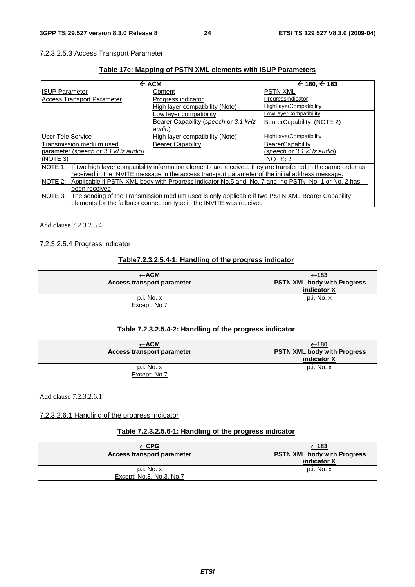#### 7.2.3.2.5.3 Access Transport Parameter

#### **Table 17c: Mapping of PSTN XML elements with ISUP Parameters**

| $\leftarrow$ ACM                                                                                                     |                                      | $\leftarrow$ 180, $\leftarrow$ 183 |
|----------------------------------------------------------------------------------------------------------------------|--------------------------------------|------------------------------------|
| <b>ISUP Parameter</b>                                                                                                | Content                              | <b>PSTN XML</b>                    |
| <b>Access Transport Parameter</b>                                                                                    | Progress indicator                   | ProgressIndicator                  |
|                                                                                                                      | High layer compatibility (Note)      | <b>HighLayerCompatibility</b>      |
|                                                                                                                      | Low layer compatibility              | LowLayerCompatibility              |
|                                                                                                                      | Bearer Capability (speech or 3.1 kHz | BearerCapability (NOTE 2)          |
|                                                                                                                      | audio)                               |                                    |
| <b>User Tele Service</b>                                                                                             | High layer compatibility (Note)      | <b>HighLayerCompatibility</b>      |
| Transmission medium used                                                                                             | <b>Bearer Capability</b>             | <b>BearerCapability</b>            |
| parameter (speech or 3.1 kHz audio)                                                                                  |                                      | (speech or 3.1 kHz audio)          |
| (NOTE 3)                                                                                                             |                                      | NOTE: 2                            |
| NOTE 1: If two high layer compatibility information elements are received, they are transferred in the same order as |                                      |                                    |
| received in the INVITE message in the access transport parameter of the initial address message.                     |                                      |                                    |
| Applicable if PSTN XML body with Progress indicator No.5 and No. 7 and no PSTN No. 1 or No. 2 has<br>NOTE 2:         |                                      |                                    |
| been received                                                                                                        |                                      |                                    |
| NOTE 3:<br>The sending of the Transmission medium used is only applicable if two PSTN XML Bearer Capability          |                                      |                                    |
| elements for the fallback connection type in the INVITE was received                                                 |                                      |                                    |

Add clause 7.2.3.2.5.4

#### 7.2.3.2.5.4 Progress indicator

#### **Table7.2.3.2.5.4-1: Handling of the progress indicator**

|                            | —183                                              |
|----------------------------|---------------------------------------------------|
| Access transport parameter | <b>PSTN XML body with Progress</b><br>indicator X |
| p.i. No. x<br>Except: No 7 | <u>p.i. No. x</u>                                 |

#### **Table 7.2.3.2.5.4-2: Handling of the progress indicator**

|                                   | (180←                                             |
|-----------------------------------|---------------------------------------------------|
| Access transport parameter        | <b>PSTN XML body with Progress</b><br>indicator X |
| <u>p.i. No. x</u><br>Except: No 7 | p.i. No. x                                        |

Add clause 7.2.3.2.6.1

7.2.3.2.6.1 Handling of the progress indicator

#### **Table 7.2.3.2.5.6-1: Handling of the progress indicator**

| -CPG                                     | $\xleftarrow{183}$                                |
|------------------------------------------|---------------------------------------------------|
| Access transport parameter               | <b>PSTN XML body with Progress</b><br>indicator X |
| $p.i. No. x$<br>Except: No.8, No.3, No.7 | $p.i. No. x$                                      |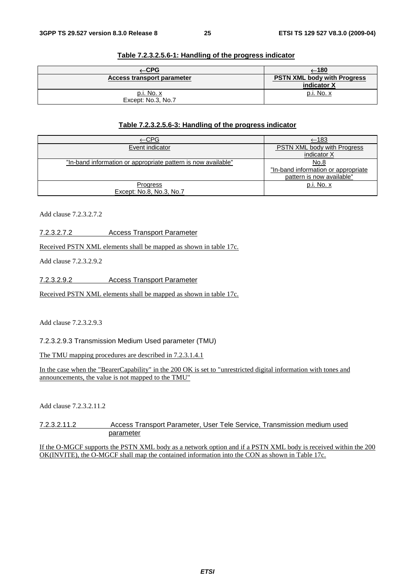| -CPG                                    | (180←                                             |
|-----------------------------------------|---------------------------------------------------|
| Access transport parameter              | <b>PSTN XML body with Progress</b><br>indicator X |
| <u>p.i. No. x</u><br>Except: No.3, No.7 | p.i. No. x                                        |

#### **Table 7.2.3.2.5.6-1: Handling of the progress indicator**

#### **Table 7.2.3.2.5.6-3: Handling of the progress indicator**

| <u>←CPG</u>                                                   | $-183$                              |
|---------------------------------------------------------------|-------------------------------------|
| Event indicator                                               | PSTN XML body with Progress         |
|                                                               | indicator X                         |
| "In-band information or appropriate pattern is now available" | No.8                                |
|                                                               | "In-band information or appropriate |
|                                                               | pattern is now available"           |
| <b>Progress</b>                                               | p.i. No. x                          |
| Except: No.8, No.3, No.7                                      |                                     |

Add clause 7.2.3.2.7.2

7.2.3.2.7.2 Access Transport Parameter

Received PSTN XML elements shall be mapped as shown in table 17c.

Add clause 7.2.3.2.9.2

7.2.3.2.9.2 Access Transport Parameter

Received PSTN XML elements shall be mapped as shown in table 17c.

Add clause 7.2.3.2.9.3

7.2.3.2.9.3 Transmission Medium Used parameter (TMU)

The TMU mapping procedures are described in 7.2.3.1.4.1

In the case when the "BearerCapability" in the 200 OK is set to "unrestricted digital information with tones and announcements, the value is not mapped to the TMU"

Add clause 7.2.3.2.11.2

7.2.3.2.11.2 Access Transport Parameter, User Tele Service, Transmission medium used parameter

If the O-MGCF supports the PSTN XML body as a network option and if a PSTN XML body is received within the 200 OK(INVITE), the O-MGCF shall map the contained information into the CON as shown in Table 17c.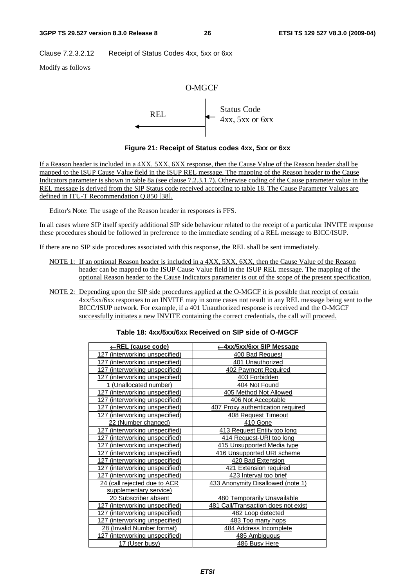Clause 7.2.3.2.12 Receipt of Status Codes 4xx, 5xx or 6xx

Modify as follows



**Figure 21: Receipt of Status codes 4xx, 5xx or 6xx** 

If a Reason header is included in a 4XX, 5XX, 6XX response, then the Cause Value of the Reason header shall be mapped to the ISUP Cause Value field in the ISUP REL message. The mapping of the Reason header to the Cause Indicators parameter is shown in table 8a (see clause 7.2.3.1.7). Otherwise coding of the Cause parameter value in the REL message is derived from the SIP Status code received according to table 18. The Cause Parameter Values are defined in ITU-T Recommendation Q.850 [38].

Editor's Note: The usage of the Reason header in responses is FFS.

In all cases where SIP itself specify additional SIP side behaviour related to the receipt of a particular INVITE response these procedures should be followed in preference to the immediate sending of a REL message to BICC/ISUP.

If there are no SIP side procedures associated with this response, the REL shall be sent immediately.

- NOTE 1: If an optional Reason header is included in a 4XX, 5XX, 6XX, then the Cause Value of the Reason header can be mapped to the ISUP Cause Value field in the ISUP REL message. The mapping of the optional Reason header to the Cause Indicators parameter is out of the scope of the present specification.
- NOTE 2: Depending upon the SIP side procedures applied at the O-MGCF it is possible that receipt of certain 4xx/5xx/6xx responses to an INVITE may in some cases not result in any REL message being sent to the BICC/ISUP network. For example, if a 401 Unauthorized response is received and the O-MGCF successfully initiates a new INVITE containing the correct credentials, the call will proceed.

| Table 18: 4xx/5xx/6xx Received on SIP side of O-MGCF |  |  |
|------------------------------------------------------|--|--|
|------------------------------------------------------|--|--|

| <u>←REL (cause code)</u>              | ←4xx/5xx/6xx SIP Message            |
|---------------------------------------|-------------------------------------|
| 127 (interworking unspecified)        | 400 Bad Request                     |
| 127 (interworking unspecified)        | 401 Unauthorized                    |
| (interworking unspecified)<br>127     | 402 Payment Required                |
| <u>127 (interworking unspecified)</u> | 403 Forbidden                       |
| 1 (Unallocated number)                | 404 Not Found                       |
| 127 (interworking unspecified)        | 405 Method Not Allowed              |
| (interworking unspecified)<br>127     | 406 Not Acceptable                  |
| 127 (interworking unspecified)        | 407 Proxy authentication required   |
| 127 (interworking unspecified)        | 408 Request Timeout                 |
| 22 (Number changed)                   | 410 Gone                            |
| (interworking unspecified)<br>127     | 413 Request Entity too long         |
| 127 (interworking unspecified)        | 414 Request-URI too long            |
| 127 (interworking unspecified)        | 415 Unsupported Media type          |
| (interworking unspecified)<br>127     | 416 Unsupported URI scheme          |
| (interworking unspecified)<br>127     | 420 Bad Extension                   |
| 127 (interworking unspecified)        | 421 Extension required              |
| 127 (interworking unspecified)        | 423 Interval too brief              |
| 24 (call rejected due to ACR          | 433 Anonymity Disallowed (note 1)   |
| supplementary service)                |                                     |
| <u> 20 Subscriber absent</u>          | <b>480 Temporarily Unavailable</b>  |
| 127 (interworking unspecified)        | 481 Call/Transaction does not exist |
| 127 (interworking unspecified)        | 482 Loop detected                   |
| 127 (interworking unspecified)        | 483 Too many hops                   |
| 28 (Invalid Number format)            | 484 Address Incomplete              |
| 127 (interworking unspecified)        | 485 Ambiguous                       |
| 17 (User busy)                        | 486 Busy Here                       |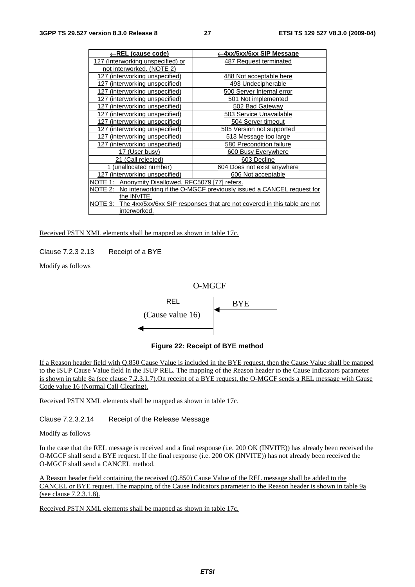| ←REL (cause code)                                     | ←4xx/5xx/6xx SIP Message                                                         |
|-------------------------------------------------------|----------------------------------------------------------------------------------|
| 127 (Interworking unspecified) or                     | 487 Request terminated                                                           |
| not interworked. (NOTE 2)                             |                                                                                  |
| 127 (interworking unspecified)                        | 488 Not acceptable here                                                          |
| 127 (interworking unspecified)                        | 493 Undecipherable                                                               |
| (interworking unspecified)<br>127                     | 500 Server Internal error                                                        |
| (interworking unspecified)<br>127                     | 501 Not implemented                                                              |
| (interworking unspecified)<br>127                     | 502 Bad Gateway                                                                  |
| 127 (interworking unspecified)                        | 503 Service Unavailable                                                          |
| (interworking unspecified)<br>127                     | 504 Server timeout                                                               |
| (interworking unspecified)<br>127                     | 505 Version not supported                                                        |
| 127 (interworking unspecified)                        | 513 Message too large                                                            |
| 127 (interworking unspecified)                        | 580 Precondition failure                                                         |
| 17 (User busy)                                        | 600 Busy Everywhere                                                              |
| 21 (Call rejected)                                    | 603 Decline                                                                      |
| (unallocated number)                                  | 604 Does not exist anywhere                                                      |
| 127 (interworking unspecified)                        | 606 Not acceptable                                                               |
| Anonymity Disallowed, RFC5079 [77] refers.<br>NOTE 1: |                                                                                  |
| <u>NOTE 2: </u>                                       | No interworking if the O-MGCF previously issued a CANCEL request for             |
| the INVITE.                                           |                                                                                  |
|                                                       | NOTE 3: The 4xx/5xx/6xx SIP responses that are not covered in this table are not |
| interworked.                                          |                                                                                  |

Received PSTN XML elements shall be mapped as shown in table 17c.

Clause 7.2.3 2.13 Receipt of a BYE

Modify as follows



**Figure 22: Receipt of BYE method** 

If a Reason header field with Q.850 Cause Value is included in the BYE request, then the Cause Value shall be mapped to the ISUP Cause Value field in the ISUP REL. The mapping of the Reason header to the Cause Indicators parameter is shown in table 8a (see clause 7.2.3.1.7).On receipt of a BYE request, the O-MGCF sends a REL message with Cause Code value 16 (Normal Call Clearing).

Received PSTN XML elements shall be mapped as shown in table 17c.

Clause 7.2.3.2.14 Receipt of the Release Message

Modify as follows

In the case that the REL message is received and a final response (i.e. 200 OK (INVITE)) has already been received the O-MGCF shall send a BYE request. If the final response (i.e. 200 OK (INVITE)) has not already been received the O-MGCF shall send a CANCEL method.

A Reason header field containing the received (Q.850) Cause Value of the REL message shall be added to the CANCEL or BYE request. The mapping of the Cause Indicators parameter to the Reason header is shown in table 9a (see clause 7.2.3.1.8).

Received PSTN XML elements shall be mapped as shown in table 17c.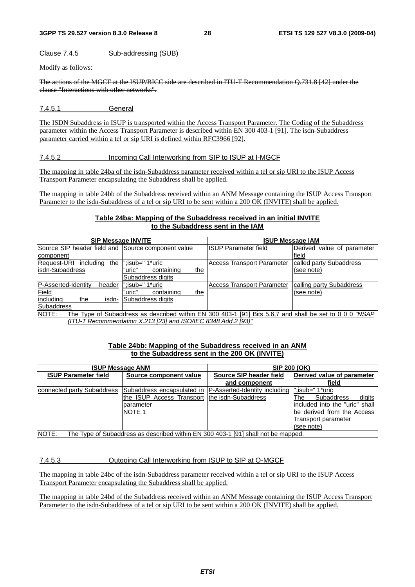Clause 7.4.5 Sub-addressing (SUB)

Modify as follows:

The actions of the MGCF at the ISUP/BICC side are described in ITU-T Recommendation Q.731.8 [42] under the clause "Interactions with other networks".

7.4.5.1 General

The ISDN Subaddress in ISUP is transported within the Access Transport Parameter. The Coding of the Subaddress parameter within the Access Transport Parameter is described within EN 300 403-1 [91]. The isdn-Subaddress parameter carried within a tel or sip URI is defined within RFC3966 [92].

#### 7.4.5.2 Incoming Call Interworking from SIP to ISUP at I-MGCF

The mapping in table 24ba of the isdn-Subaddress parameter received within a tel or sip URI to the ISUP Access Transport Parameter encapsulating the Subaddress shall be applied.

The mapping in table 24bb of the Subaddress received within an ANM Message containing the ISUP Access Transport Parameter to the isdn-Subaddress of a tel or sip URI to be sent within a 200 OK (INVITE) shall be applied.

#### **Table 24ba: Mapping of the Subaddress received in an initial INVITE to the Subaddress sent in the IAM**

| <b>SIP Message INVITE</b>                                                                                        |                             | <b>ISUP Message IAM</b>           |                               |  |  |
|------------------------------------------------------------------------------------------------------------------|-----------------------------|-----------------------------------|-------------------------------|--|--|
| Source SIP header field and                                                                                      | Source component value      | <b>ISUP Parameter field</b>       | Derived value of<br>parameter |  |  |
| component                                                                                                        |                             |                                   | field                         |  |  |
| <b>Request-URI</b><br>includina<br>the                                                                           | ":isub=" 1*uric             | <b>Access Transport Parameter</b> | called party Subaddress       |  |  |
| lisdn-Subaddress                                                                                                 | "uric"<br>containing<br>the |                                   | (see note)                    |  |  |
|                                                                                                                  | Subaddress digits           |                                   |                               |  |  |
| <b>P-Asserted-Identity</b><br>header                                                                             | ":isub=" 1*uric             | <b>Access Transport Parameter</b> | calling party Subaddress      |  |  |
| Field                                                                                                            | "uric"<br>containing<br>the |                                   | (see note)                    |  |  |
| lincludina<br>the<br>isdn-                                                                                       | Subaddress digits           |                                   |                               |  |  |
| Subaddress                                                                                                       |                             |                                   |                               |  |  |
| NOTE:<br>The Type of Subaddress as described within EN 300 403-1 [91] Bits 5.6.7 and shall be set to 0 0 0 "NSAP |                             |                                   |                               |  |  |
| (ITU-T Recommendation X.213 [23] and ISO/IEC 8348 Add.2 [93)"                                                    |                             |                                   |                               |  |  |

#### **Table 24bb: Mapping of the Subaddress received in an ANM to the Subaddress sent in the 200 OK (INVITE)**

| <b>ISUP Message ANM</b>                                                                           |                                               | <b>SIP 200 (OK)</b>                                       |                                |  |  |  |
|---------------------------------------------------------------------------------------------------|-----------------------------------------------|-----------------------------------------------------------|--------------------------------|--|--|--|
| <b>ISUP Parameter field</b>                                                                       | Source component value                        | Source SIP header field                                   | Derived value of parameter     |  |  |  |
|                                                                                                   |                                               | and component                                             | field                          |  |  |  |
| connected party Subaddress                                                                        |                                               | Subaddress encapsulated in (P-Asserted-Identity including | l":isub=" 1*uric               |  |  |  |
|                                                                                                   | the ISUP Access Transport the isdn-Subaddress |                                                           | digits<br>Subaddress<br>The    |  |  |  |
|                                                                                                   | parameter                                     |                                                           | included into the "uric" shall |  |  |  |
|                                                                                                   | <b>NOTE 1</b>                                 |                                                           | be derived from the Access     |  |  |  |
|                                                                                                   |                                               |                                                           | Transport parameter            |  |  |  |
|                                                                                                   |                                               |                                                           | (see note)                     |  |  |  |
| <b>NOTE:</b><br>The Type of Subaddress as described within EN 300 403-1 [91] shall not be mapped. |                                               |                                                           |                                |  |  |  |

#### 7.4.5.3 Outgoing Call Interworking from ISUP to SIP at O-MGCF

The mapping in table 24bc of the isdn-Subaddress parameter received within a tel or sip URI to the ISUP Access Transport Parameter encapsulating the Subaddress shall be applied.

The mapping in table 24bd of the Subaddress received within an ANM Message containing the ISUP Access Transport Parameter to the isdn-Subaddress of a tel or sip URI to be sent within a 200 OK (INVITE) shall be applied.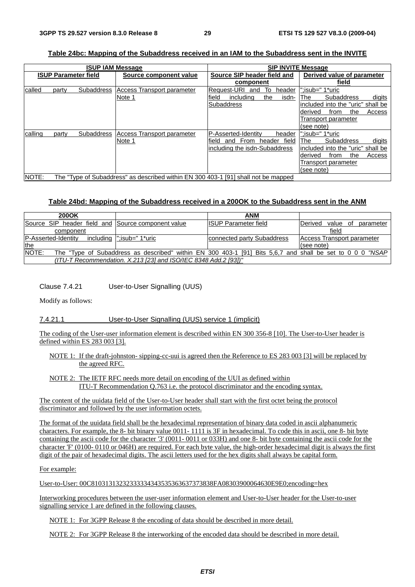| Table 24bc: Mapping of the Subaddress received in an IAM to the Subaddress sent in the INVITE |
|-----------------------------------------------------------------------------------------------|
|-----------------------------------------------------------------------------------------------|

|                             |                                                                                    | <b>ISUP IAM Message</b> |                            | <b>SIP INVITE Message</b>                 |                                    |  |  |
|-----------------------------|------------------------------------------------------------------------------------|-------------------------|----------------------------|-------------------------------------------|------------------------------------|--|--|
| <b>ISUP Parameter field</b> |                                                                                    |                         | Source component value     | Source SIP header field and               | Derived value of parameter         |  |  |
|                             |                                                                                    |                         |                            | component                                 | field                              |  |  |
| called                      | party                                                                              | <b>Subaddress</b>       | Access Transport parameter | <b>Request-URI</b><br>То<br>header<br>and | :isub=" 1*uric:"                   |  |  |
|                             |                                                                                    |                         | Note 1                     | field<br>the<br>isdn-<br>includina        | digits<br><b>Subaddress</b><br>The |  |  |
|                             |                                                                                    |                         |                            | <b>Subaddress</b>                         | included into the "uric" shall be  |  |  |
|                             |                                                                                    |                         |                            |                                           | Access<br>derived<br>the<br>from   |  |  |
|                             |                                                                                    |                         |                            |                                           | Transport parameter                |  |  |
|                             |                                                                                    |                         |                            |                                           | (see note)                         |  |  |
| calling                     | party                                                                              | <b>Subaddress</b>       | Access Transport parameter | P-Asserted-Identity<br>header             | ":isub=" 1*uric                    |  |  |
|                             |                                                                                    |                         | Note 1                     | field<br>From<br>field<br>header<br>and   | The<br><b>Subaddress</b><br>digits |  |  |
|                             |                                                                                    |                         |                            | including the isdn-Subaddress             | included into the "uric" shall be  |  |  |
|                             |                                                                                    |                         |                            |                                           | Access<br>derived<br>trom<br>the   |  |  |
|                             |                                                                                    |                         |                            |                                           | Transport parameter                |  |  |
|                             |                                                                                    |                         |                            |                                           | (see note)                         |  |  |
| NOTE:                       | The "Type of Subaddress" as described within EN 300 403-1 [91] shall not be mapped |                         |                            |                                           |                                    |  |  |

#### **Table 24bd: Mapping of the Subaddress received in a 200OK to the Subaddress sent in the ANM**

| 200OK                                                           |                            | <b>ANM</b>                                                                                                |                                       |  |
|-----------------------------------------------------------------|----------------------------|-----------------------------------------------------------------------------------------------------------|---------------------------------------|--|
| Source SIP header field and Source component value              |                            | IISUP Parameter field                                                                                     | parameter<br>IDerived.<br>value<br>of |  |
| component                                                       |                            |                                                                                                           | field                                 |  |
| P-Asserted-Identity                                             | includina l":isub=" 1*uric | connected party Subaddress                                                                                | Access Transport parameter            |  |
| the                                                             |                            |                                                                                                           | (see note)                            |  |
| NOTE:                                                           |                            | The "Type of Subaddress as described" within EN 300 403-1 [91] Bits 5.6.7 and shall be set to 0 0 0 "NSAP |                                       |  |
| (ITU-T Recommendation. X.213 [23] and ISO/IEC 8348 Add.2 [93])" |                            |                                                                                                           |                                       |  |

#### Clause 7.4.21 User-to-User Signalling (UUS)

Modify as follows:

#### 7.4.21.1 User-to-User Signalling (UUS) service 1 (implicit)

The coding of the User-user information element is described within EN 300 356-8 [10]. The User-to-User header is defined within ES 283 003 [3].

- NOTE 1: If the draft-johnston- sipping-cc-uui is agreed then the Reference to ES 283 003 [3] will be replaced by the agreed RFC.
- NOTE 2: The IETF RFC needs more detail on encoding of the UUI as defined within ITU-T Recommendation Q.763 i.e. the protocol discriminator and the encoding syntax.

The content of the uuidata field of the User-to-User header shall start with the first octet being the protocol discriminator and followed by the user information octets.

The format of the uuidata field shall be the hexadecimal representation of binary data coded in ascii alphanumeric characters. For example, the 8- bit binary value 0011- 1111 is 3F in hexadecimal. To code this in ascii, one 8- bit byte containing the ascii code for the character '3' (0011- 0011 or 033H) and one 8- bit byte containing the ascii code for the character 'F' (0100- 0110 or 046H) are required. For each byte value, the high-order hexadecimal digit is always the first digit of the pair of hexadecimal digits. The ascii letters used for the hex digits shall always be capital form.

#### For example:

```
User-to-User: 00C81031313232333334343535363637373838FA08303900064630E9E0;encoding=hex
```
Interworking procedures between the user-user information element and User-to-User header for the User-to-user signalling service 1 are defined in the following clauses.

NOTE 1: For 3GPP Release 8 the encoding of data should be described in more detail.

NOTE 2: For 3GPP Release 8 the interworking of the encoded data should be described in more detail.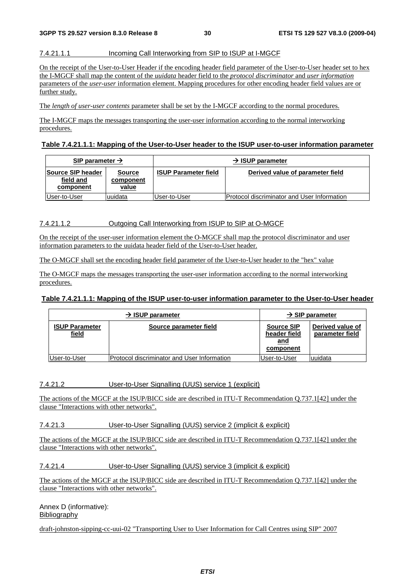#### 7.4.21.1.1 Incoming Call Interworking from SIP to ISUP at I-MGCF

On the receipt of the User-to-User Header if the encoding header field parameter of the User-to-User header set to hex the I-MGCF shall map the content of the *uuidata* header field to the *protocol discriminator* and *user information* parameters of the *user-user* information element. Mapping procedures for other encoding header field values are or further study.

The *length of user-user contents* parameter shall be set by the I-MGCF according to the normal procedures.

The I-MGCF maps the messages transporting the user-user information according to the normal interworking procedures.

#### **Table 7.4.21.1.1: Mapping of the User-to-User header to the ISUP user-to-user information parameter**

| SIP parameter $\rightarrow$                        |                                     |                             | $\rightarrow$ ISUP parameter                       |
|----------------------------------------------------|-------------------------------------|-----------------------------|----------------------------------------------------|
| <b>Source SIP header</b><br>field and<br>component | <b>Source</b><br>component<br>value | <b>ISUP Parameter field</b> | Derived value of parameter field                   |
| IUser-to-User                                      | uuidata                             | User-to-User                | <b>Protocol discriminator and User Information</b> |

#### 7.4.21.1.2 Outgoing Call Interworking from ISUP to SIP at O-MGCF

On the receipt of the user-user information element the O-MGCF shall map the protocol discriminator and user information parameters to the uuidata header field of the User-to-User header.

The O-MGCF shall set the encoding header field parameter of the User-to-User header to the "hex" value

The O-MGCF maps the messages transporting the user-user information according to the normal interworking procedures.

#### **Table 7.4.21.1.1: Mapping of the ISUP user-to-user information parameter to the User-to-User header**

|                                | $\rightarrow$ ISUP parameter                |                                                              | $\rightarrow$ SIP parameter         |
|--------------------------------|---------------------------------------------|--------------------------------------------------------------|-------------------------------------|
| <b>ISUP Parameter</b><br>field | Source parameter field                      | <b>Source SIP</b><br>header field<br><u>and</u><br>component | Derived value of<br>parameter field |
| User-to-User                   | Protocol discriminator and User Information | User-to-User                                                 | luuidata                            |

#### 7.4.21.2 User-to-User Signalling (UUS) service 1 (explicit)

The actions of the MGCF at the ISUP/BICC side are described in ITU-T Recommendation Q.737.1[42] under the clause "Interactions with other networks".

7.4.21.3 User-to-User Signalling (UUS) service 2 (implicit & explicit)

The actions of the MGCF at the ISUP/BICC side are described in ITU-T Recommendation Q.737.1[42] under the clause "Interactions with other networks".

7.4.21.4 User-to-User Signalling (UUS) service 3 (implicit & explicit)

The actions of the MGCF at the ISUP/BICC side are described in ITU-T Recommendation Q.737.1[42] under the clause "Interactions with other networks".

Annex D (informative): Bibliography

draft-johnston-sipping-cc-uui-02 "Transporting User to User Information for Call Centres using SIP" 2007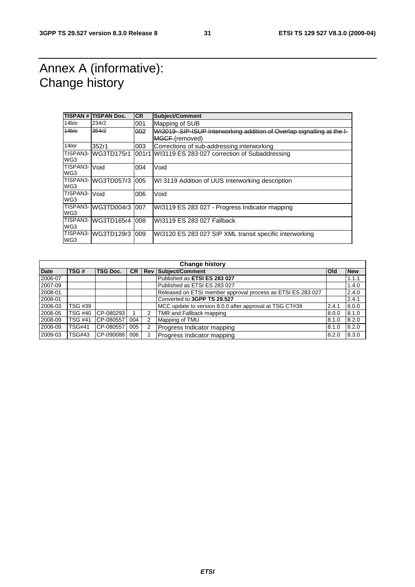### Annex A (informative): Change history

|                      | <b>TISPAN # TISPAN Doc.</b> | <b>CR</b> | Subject/Comment                                                       |
|----------------------|-----------------------------|-----------|-----------------------------------------------------------------------|
| 14bis                | 234r2                       | 001       | Mapping of SUB                                                        |
| 14bis                | 354r2                       | 002       | WI3019-SIP-ISUP Interworking addition of Overlap signalling at the I- |
|                      |                             |           | MGCF (removed)                                                        |
| 14ter                | 352r1                       | 003       | Corrections of sub-addressing interworking                            |
| WG3                  | TISPAN3- WG3TD175r1         |           | 001r1 WI3119 ES 283 027 correction of Subaddressing                   |
| TISPAN3-<br>WG3      | Void                        | 004       | Void                                                                  |
| WG3                  | TISPAN3-WG3TD057r3          | 005       | WI 3119 Addition of UUS Interworking description                      |
| TISPAN3- Void<br>WG3 |                             | 006       | Void                                                                  |
| WG3                  | TISPAN3- WG3TD004r3         | 007       | WI3119 ES 283 027 - Progress Indicator mapping                        |
| WG3                  | TISPAN3-WG3TD165r4          | 008       | WI3119 ES 283 027 Fallback                                            |
| WG3                  | TISPAN3-WG3TD129r3          | 009       | WI3120 ES 283 027 SIP XML transit specific interworking               |

|             | <b>Change history</b> |                 |           |   |                                                             |              |            |
|-------------|-----------------------|-----------------|-----------|---|-------------------------------------------------------------|--------------|------------|
| <b>Date</b> | TSG#                  | <b>TSG Doc.</b> | <b>CR</b> |   | <b>Rev Subject/Comment</b>                                  | <b>l</b> Old | <b>New</b> |
| 2006-07     |                       |                 |           |   | Published as ETSI ES 283 027                                |              | 1.1.1      |
| 2007-09     |                       |                 |           |   | Published as ETSI ES 283 027                                |              | 1.4.0      |
| 2008-01     |                       |                 |           |   | Released on ETSI member approval process as ETSI ES 283 027 |              | 2.4.0      |
| 2008-01     |                       |                 |           |   | Converted to 3GPP TS 29.527                                 |              | 2.4.1      |
| 2008-03     | TSG #39               |                 |           |   | MCC update to version 8.0.0 after approval at TSG CT#39     | 2.4.1        | 8.0.0      |
| 2008-05     | <b>TSG #40</b>        | CP-080293       |           | 2 | TMR and Fallback mapping                                    | 8.0.0        | 8.1.0      |
| 2008-09     | <b>TSG #41</b>        | CP-080557       | 004       | 2 | Mapping of TMU                                              | 8.1.0        | 8.2.0      |
| 2008-09     | <b>TSG#41</b>         | CP-080557       | 005       | 2 | Progress Indicator mapping                                  | 8.1.0        | 8.2.0      |
| 2009-03     | TSG#43                | CP-090088       | 006       |   | Progress Indicator mapping                                  | 8.2.0        | 8.3.0      |